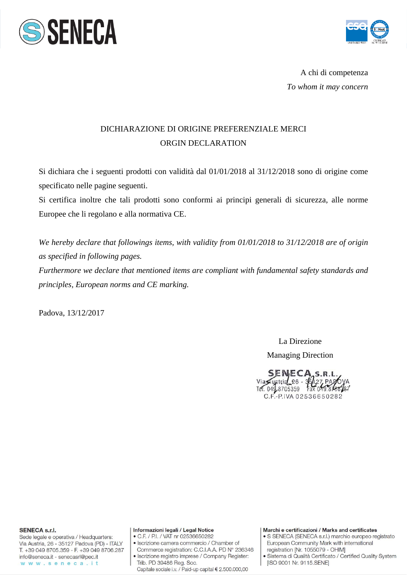



A chi di competenza *To whom it may concern* 

## DICHIARAZIONE DI ORIGINE PREFERENZIALE MERCI ORGIN DECLARATION

Si dichiara che i seguenti prodotti con validità dal 01/01/2018 al 31/12/2018 sono di origine come specificato nelle pagine seguenti.

Si certifica inoltre che tali prodotti sono conformi ai principi generali di sicurezza, alle norme Europee che li regolano e alla normativa CE.

*We hereby declare that followings items, with validity from 01/01/2018 to 31/12/2018 are of origin as specified in following pages.* 

*Furthermore we declare that mentioned items are compliant with fundamental safety standards and principles, European norms and CE marking.* 

Padova, 13/12/2017

La Direzione

Managing Direction

SENECA<sub>S.R.L</sub> Via ustria 26 - 36127 PAZ<br>Tel. 043 8705359 Fax 049.849 C.F.-P.IVA 02536650282

**SENECA s.r.l.** 

Sede legale e operativa / Headquarters: Via Austria, 26 - 35127 Padova (PD) - ITALY T. +39 049 8705.359 - F. +39 049 8706.287 info@seneca.it - senecasrl@pec.it www.seneca.it

## Informazioni legali / Legal Notice

- C.F. / P.I. / VAT nr 02536650282 · Iscrizione camera commercio / Chamber of
- Commerce registration: C.C.I.A.A. PD N° 236346
- · Iscrizione registro imprese / Company Register: Trib. PD 39486 Reg. Soc. Capitale sociale i.v. / Paid-up capital € 2.500.000,00

## Marchi e certificazioni / Marks and certificates

- · S SENECA (SENECA s.r.l.) marchio europeo registrato European Community Mark with international registration [Nr. 1055079 - OHIM]
- · Sistema di Qualità Certificato / Certified Quality System [ISO 9001 Nr. 9115.SENE]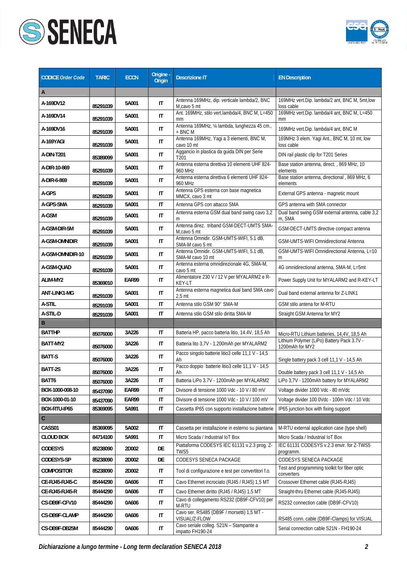



| <b>CODICE Order Code</b> | <b>TARIC</b> | <b>ECCN</b> | Origine -<br><b>Origin</b> | <b>Descrizione IT</b>                                           | <b>EN Description</b>                                         |
|--------------------------|--------------|-------------|----------------------------|-----------------------------------------------------------------|---------------------------------------------------------------|
| A                        |              |             |                            |                                                                 |                                                               |
| A-169DV12                | 85291039     | 5A001       | $\mathsf{I}\mathsf{T}$     | Antenna 169MHz, dip. verticale lambda/2, BNC<br>M,cavo 5 mt     | 169MHz vert.Dip. lambda/2 ant, BNC M, 5mt,low<br>loss cable   |
| A-169DV14                | 85291039     | 5A001       | IT                         | Ant. 169MHz, stilo vert.lambda/4, BNC M, L=450<br>mm            | 169MHz vert.Dip. lambda/4 ant, BNC M, L=450<br>mm             |
| A-169DV16                | 85291039     | 5A001       | IT                         | Antenna 169MHz, 1/4 lambda, lunghezza 45 cm.,<br>+ BNC M        | 169MHz vert.Dip. lambda/4 ant, BNC M                          |
| A-169YAGI                | 85291039     | 5A001       | IT                         | Antenna 169MHz, Yaqi a 3 elementi, BNC M,<br>cavo 10 mt         | 169MHz 3 elem. Yagi Ant., BNC M, 10 mt, low<br>loss cable     |
| A-DIN-T201               | 85389099     | 5A001       | IT                         | Aggancio in plastica da guida DIN per Serie<br>T <sub>201</sub> | DIN rail plastic clip for T201 Series                         |
| A-DIR-10-869             | 85291039     | 5A001       | IT                         | Antenna esterna direttiva 10 elementi UHF 824-<br>960 MHz       | Base station antenna, direct., 869 MHz, 10<br>elements        |
| A-DIR-6-869              | 85291039     | 5A001       | IT                         | Antenna esterna direttiva 6 elementi UHF 824-<br>960 MHz        | Base station antenna, directional, 869 MHz, 6<br>elements     |
| A-GPS                    | 85291039     | 5A001       | IT                         | Antenna GPS esterna con base magnetica<br>MMCX, cavo 3 mt       | External GPS antenna - magnetic mount                         |
| A-GPS-SMA                | 85291039     | 5A001       | IT                         | Antenna GPS con attacco SMA                                     | GPS antenna with SMA connector                                |
| A-GSM                    | 85291039     | 5A001       | $\mathsf{I}\mathsf{T}$     | Antenna esterna GSM dual band swing cavo 3,2<br>m               | Dual band swing GSM external antenna, cable 3,2<br>m, SMA     |
| A-GSM-DIR-5M             | 85291039     | 5A001       | IT                         | Antenna direz. triband GSM-DECT-UMTS SMA-<br>M,cavo 5 mt        | GSM-DECT-UMTS directive compact antenna                       |
| A-GSM-OMNIDIR            | 85291039     | 5A001       | IT                         | Antenna Omnidir. GSM-UMTS-WIFI, 5.1 dB,<br>SMA-M cavo 5 mt      | GSM-UMTS-WIFI Omnidirectional Antenna                         |
| A-GSM-OMNIDIR-10         | 85291039     | 5A001       | IT                         | Antenna Omnidir. GSM-UMTS-WIFI, 5.1 dB,<br>SMA-M cavo 10 mt     | GSM-UMTS-WIFI Omnidirectional Antenna, L=10<br>m              |
| A-GSM-QUAD               | 85291039     | 5A001       | IT                         | Antenna esterna omnidirezionale 4G, SMA-M,<br>cavo 5 mt         | 4G omnidirectional antenna, SMA-M, L=5mt                      |
| ALIM-MY2                 | 85369010     | EAR99       | IT                         | Alimentatore 230 V / 12 V per MYALARM2 e R-<br>KEY-LT           | Power Supply Unit for MYALARM2 and R-KEY-LT                   |
| ANT-LINK1-MG             | 85291039     | 5A001       | IT                         | Antenna esterna magnetica dual band SMA cavo<br>$2,5$ mt        | Dual band external antenna for Z-LINK1                        |
| A-STIL                   | 85291039     | 5A001       | IT                         | Antenna stilo GSM 90° SMA-M                                     | GSM stilo antena for M-RTU                                    |
| A-STIL-D                 | 85291039     | 5A001       | IT                         | Antenna stilo GSM stilo diritta SMA-M                           | Straight GSM Antenna for MY2                                  |
| B                        |              |             |                            |                                                                 |                                                               |
| <b>BATTHP</b>            | 85076000     | 3A226       | IT                         | Batteria HP, pacco batteria litio, 14.4V, 18,5 Ah               | Micro-RTU Lithium batteries, 14,4V, 18,5 Ah                   |
| BATT-MY2                 | 85076000     | 3A226       | $\mathsf{I}\mathsf{T}$     | Batteria lito 3,7V - 1.200mAh per MYALARM2                      | Lithium Polymer (LiPo) Battery Pack 3.7V -<br>1200mAh for MY2 |
| BATT-S                   | 85076000     | 3A226       | IT                         | Pacco singolo batterie litio3 celle 11,1 V - 14,5<br>Ah         | Single battery pack 3 cell 11,1 V - 14,5 Ah                   |
| BATT-2S                  | 85076000     | 3A226       | IT                         | Pacco doppio batterie litio3 celle 11,1 V - 14,5<br>Ah          | Double battery pack 3 cell 11,1 V - 14,5 Ah                   |
| BATT6                    | 85076000     | 3A226       | IT                         | Batteria LiPo 3.7V - 1200mAh per MYALARM2                       | LiPo 3,7V - 1200mAh battery for MYALARM2                      |
| BOX-1000-008-10          | 85437090     | EAR99       | IT                         | Divisore di tensione 1000 Vdc - 10 V / 80 mV                    | Voltage divider 1000 Vdc - 80 mVdc                            |
| BOX-1000-01-10           | 85437090     | EAR99       | IT                         | Divisore di tensione 1000 Vdc - 10 V / 100 mV                   | Voltage divider 100 0Vdc - 100m Vdc / 10 Vdc                  |
| BOX-RTU-IP65             | 85369095     | 5A991       | $\mathsf{I}\mathsf{T}$     | Cassetta IP65 con supporto installazione batterie               | IP65 junction box with fixing support                         |
| $\mathsf C$              |              |             |                            |                                                                 |                                                               |
| CASS01                   | 85369095     | 5A002       | IT                         | Cassetta per installazione in esterno su piantana               | M-RTU external application case (type shell)                  |
| <b>CLOUD BOX</b>         | 84714100     | 5A991       | IT                         | Micro Scada / Industrial IoT Box                                | Micro Scada / Industrial IoT Box                              |
| <b>CODESYS</b>           | 85238090     | 2D002       | DE                         | Piattaforma CODESYS IEC 61131 v.2.3 prog. Z-<br>TWS5            | IEC 61131 CODESYS v.2.3 envir. for Z-TWS5<br>programm.        |
| CODESYS-SP               | 85238090     | 2D002       | DE                         | CODESYS SENECA PACKAGE                                          | CODESYS SENECA PACKAGE                                        |
| <b>COMPOSITOR</b>        | 85238090     | 2D002       | IT                         | Tool di configurazione e test per convertitori f.o.             | Test and programming toolkit for fiber optic<br>converters    |
| CE-RJ45-RJ45-C           | 85444290     | 0A606       | IT                         | Cavo Ethernet incrociato (RJ45 / RJ45) 1,5 MT                   | Crossover Ethernet cable (RJ45-RJ45)                          |
| CE-RJ45-RJ45-R           | 85444290     | 0A606       | IT                         | Cavo Ethernet diritto (RJ45 / RJ45) 1,5 MT                      | Straight-thru Ethernet cable (RJ45-RJ45)                      |
| CS-DB9F-CFV10            | 85444290     | 0A606       | IT                         | Cavo di collegamento RS232 (DB9F-CFV10) per<br>M-RTU            | RS232 connection cable (DB9F-CFV10)                           |
| CS-DB9F-CLAMP            | 85444290     | 0A606       | IT                         | Cavo ser. RS485 (DB9F / morsetti) 1,5 MT -<br>VISUAL/Z-FLOW     | RS485 conn. cable (DB9F-Clamps) for VISUAL                    |
| CS-DB9F-DB25M            | 85444290     | 0A606       | IT                         | Cavo seriale colleg. S21N - Stampante a<br>impatto FH190-24     | Serial connection cable S21N - FH190-24                       |

*Dichiarazione a lungo termine - Long term declaration SENECA 2018 2*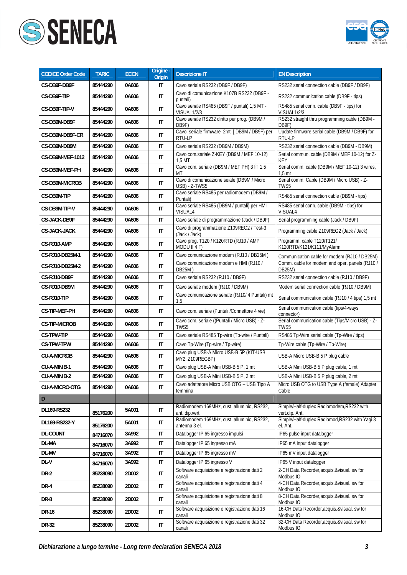



| <b>CODICE Order Code</b> | <b>TARIC</b> | <b>ECCN</b> | Origine -<br><b>Origin</b> | <b>Descrizione IT</b>                                                   | <b>EN Description</b>                                              |
|--------------------------|--------------|-------------|----------------------------|-------------------------------------------------------------------------|--------------------------------------------------------------------|
| CS-DB9F-DB9F             | 85444290     | 0A606       | IT                         | Cavo seriale RS232 (DB9F / DB9F)                                        | RS232 serial connection cable (DB9F / DB9F)                        |
| CS-DB9F-TIP              | 85444290     | 0A606       | IT                         | Cavo di comunicazione K107B RS232 (DB9F -<br>puntali)                   | RS232 communication cable (DB9F - tips)                            |
| CS-DB9F-TIP-V            | 85444290     | 0A606       | IT                         | Cavo seriale RS485 (DB9F / puntali) 1,5 MT -<br>VISUAL <sub>1/2/3</sub> | RS485 serial conn. cable (DB9F - tips) for<br>VISUAL1/2/3          |
| CS-DB9M-DB9F             | 85444290     | 0A606       | $\mathsf{I}\mathsf{T}$     | Cavo seriale RS232 diritto per prog. (DB9M /<br>DB9F)                   | RS232 straight thru programming cable (DB9M -<br>DB9F)             |
| CS-DB9M-DB9F-CR          | 85444290     | 0A606       | IT                         | Cavo seriale firmware 2mt [DB9M / DB9F) per<br>RTU-LP                   | Update firmware serial cable (DB9M / DB9F) for<br>RTU-LP           |
| CS-DB9M-DB9M             | 85444290     | 0A606       | IT                         | Cavo seriale RS232 (DB9M / DB9M)                                        | RS232 serial connection cable (DB9M - DB9M)                        |
| CS-DB9M-MEF-1012         | 85444290     | 0A606       | IT                         | Cavo com.seriale Z-KEY (DB9M / MEF 10-12)<br>$1.5$ MT                   | Serial commun. cable (DB9M / MEF 10-12) for Z-<br>KEY              |
| CS-DB9M-MEF-PH           | 85444290     | 0A606       | $\mathsf{I}\mathsf{T}$     | Cavo com. seriale (DB9M / MEF PH) 3 fili 1,5<br>МT                      | Serial comm. cable (DB9M / MEF 10-12) 3 wires,<br>1.5 <sub>m</sub> |
| <b>CS-DB9M-MICROB</b>    | 85444290     | 0A606       | IT                         | Cavo di comunicazione seiale (DB9M / Micro<br>USB) - Z-TWS5             | Serial comm. Cable (DB9M / Micro USB) - Z-<br>TWS5                 |
| CS-DB9M-TIP              | 85444290     | 0A606       | IT                         | Cavo seriale RS485 per radiomodem (DB9M /<br>Puntali)                   | RS485 serial connection cable (DB9M - tips)                        |
| CS-DB9M-TIP-V            | 85444290     | 0A606       | IT                         | Cavo seriale RS485 (DB9M / puntali) per HMI<br>VISUAL4                  | RS485 serial conn. cable (DB9M - tips) for<br>VISUAL4              |
| <b>CS-JACK-DB9F</b>      | 85444290     | 0A606       | IT                         | Cavo seriale di programmazione (Jack / DB9F)                            | Serial programming cable (Jack / DB9F)                             |
| <b>CS-JACK-JACK</b>      | 85444290     | 0A606       | $\mathsf{I}\mathsf{T}$     | Cavo di programmazione Z109REG2 / Test-3<br>(Jack / Jack)               | Programming cable Z109REG2 (Jack / Jack)                           |
| CS-RJ10-AMP              | 85444290     | 0A606       | IT                         | Cavo prog. T120 / K120RTD (RJ10 / AMP<br>MODU II 4 F)                   | Programm. cable T120/T121/<br>K120RTD/K121/K111/MyAlarm            |
| CS-RJ10-DB25M-1          | 85444290     | 0A606       | IT                         | Cavo comunicazione modem (RJ10 / DB25M)                                 | Communication cable for modem (RJ10 / DB25M)                       |
| CS-RJ10-DB25M-2          | 85444290     | 0A606       | IT                         | Cavo comunicazione modem e HMI (RJ10 /<br>DB25M)                        | Comm. cable for modem and oper. panels (RJ10 /<br>DB25M)           |
| CS-RJ10-DB9F             | 85444290     | 0A606       | IT                         | Cavo seriale RS232 (RJ10 / DB9F)                                        | RS232 serial connection cable (RJ10 / DB9F)                        |
| CS-RJ10-DB9M             | 85444290     | 0A606       | IT                         | Cavo seriale modem (RJ10 / DB9M)                                        | Modem serial connection cable (RJ10 / DB9M)                        |
| CS-RJ10-TIP              | 85444290     | 0A606       | IT                         | Cavo comunicazione seriale (RJ10/ 4 Puntali) mt<br>1,5                  | Serial communication cable (RJ10 / 4 tips) 1,5 mt                  |
| CS-TIP-MEF-PH            | 85444290     | 0A606       | $\mathsf{I}\mathsf{T}$     | Cavo com. seriale (Puntali /Connettore 4 vie)                           | Serial communication cable (tips/4-ways<br>connector)              |
| <b>CS-TIP-MICROB</b>     | 85444290     | 0A606       | $\mathsf{I}\mathsf{T}$     | Cavo com. seriale ((Puntali / Micro USB) - Z-<br>TWS5                   | Serial communication cable (Tips/Micro USB) - Z-<br>TWS5           |
| <b>CS-TPW-TIP</b>        | 85444290     | 0A606       | IT                         | Cavo seriale RS485 Tp-wire (Tp-wire / Puntali)                          | RS485 Tp-Wire serial cable (Tp-Wire / tips)                        |
| <b>CS-TPW-TPW</b>        | 85444290     | 0A606       | $\mathsf{I}\mathsf{T}$     | Cavo Tp-Wire (Tp-wire / Tp-wire)                                        | Tp-Wire cable (Tp-Wire / Tp-Wire)                                  |
| <b>CU-A-MICROB</b>       | 85444290     | 0A606       | IT                         | Cavo plug USB-A Micro USB-B 5P (KIT-USB,<br>MY2, Z109REGBP)             | USB-A Micro USB-B 5 P plug cable                                   |
| CU-A-MINIB-1             | 85444290     | 0A606       | IT                         | Cavo plug USB-A Mini USB-B 5 P, 1 mt                                    | USB-A Mini USB-B 5 P plug cable, 1 mt                              |
| CU-A-MINIB-2             | 85444290     | 0A606       | IT                         | Cavo plug USB-A Mini USB-B 5 P, 2 mt                                    | USB-A Mini USB-B 5 P plug cable, 2 mt                              |
| <b>CU-A-MICRO-OTG</b>    | 85444290     | 0A606       | $\mathsf{I}\mathsf{T}$     | Cavo adattatore Micro USB OTG - USB Tipo A<br>femmina                   | Micro USB OTG to USB Type A (female) Adapter<br>Cable              |
| D                        |              |             |                            |                                                                         |                                                                    |
| DL169-RS232              | 85176200     | 5A001       | $\mathsf{I}\mathsf{T}$     | Radiomodem 169MHz, cust. alluminio, RS232,<br>ant. dip.vert             | Simple/Half-duplex Radiomodem, RS232 with<br>vert.dip. Ant.        |
| DL169-RS232-Y            | 85176200     | 5A001       | IT                         | Radiomodem 169MHz, cust. alluminio, RS232,<br>antenna 3 el.             | Simple/Half-duplex Radiomod, RS232 with Yagi 3<br>el. Ant.         |
| <b>DL-COUNT</b>          | 84716070     | 3A992       | IT                         | Datalogger IP 65 ingresso impulsi                                       | IP65 pulse input datalogger                                        |
| DL-MA                    | 84716070     | 3A992       | IT                         | Datalogger IP 65 ingresso mA                                            | IP65 mA input datalogger                                           |
| DL-MV                    | 84716070     | 3A992       | IT                         | Datalogger IP 65 ingresso mV                                            | IP65 mV input datalogger                                           |
| DL-V                     | 84716070     | 3A992       | IT                         | Datalogger IP 65 ingresso V                                             | IP65 V input datalogger                                            |
| <b>DR-2</b>              | 85238090     | 2D002       | IT                         | Software acquisizione e registrazione dati 2<br>canali                  | 2-CH Data Recorder, acquis. & visual. sw for<br>Modbus IO          |
| DR-4                     | 85238090     | 2D002       | IT                         | Software acquisizione e registrazione dati 4<br>canali                  | 4-CH Data Recorder, acquis. & visual. sw for<br>Modbus IO          |
| DR-8                     | 85238090     | 2D002       | IT                         | Software acquisizione e registrazione dati 8<br>canali                  | 8-CH Data Recorder, acquis. & visual. sw for<br>Modbus IO          |
| DR-16                    | 85238090     | 2D002       | IT                         | Software acquisizione e registrazione dati 16<br>canali                 | 16-CH Data Recorder, acquis. & visual. sw for<br>Modbus IO         |
| DR-32                    | 85238090     | 2D002       | IT                         | Software acquisizione e registrazione dati 32<br>canali                 | 32-CH Data Recorder, acquis. & visual. sw for<br>Modbus IO         |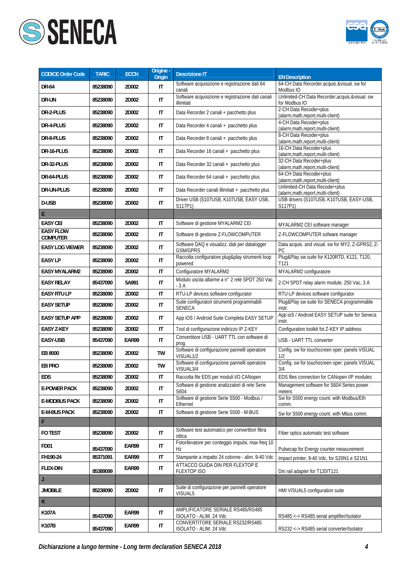



| <b>CODICE Order Code</b>            | <b>TARIC</b> | <b>ECCN</b> | Origine -<br><b>Origin</b> | <b>Descrizione IT</b>                                            | <b>EN Description</b>                                              |
|-------------------------------------|--------------|-------------|----------------------------|------------------------------------------------------------------|--------------------------------------------------------------------|
| <b>DR-64</b>                        | 85238090     | 2D002       | IT                         | Software acquisizione e registrazione dati 64<br>canali          | 64-CH Data Recorder, acquis. & visual. sw for<br>Modbus IO         |
| DR-UN                               | 85238090     | 2D002       | IT                         | Software acquisizione e registrazione dati canali<br>illimitati  | Unlimited-CH Data Recorder, acquis. & visual. sw<br>for Modbus IO  |
| DR-2-PLUS                           | 85238090     | 2D002       | IT                         | Data Recorder 2 canali + pacchetto plus                          | 2-CH Data Recoder+plus<br>(alarm, math, report, multi-client)      |
| DR-4-PLUS                           | 85238090     | 2D002       | IT                         | Data Recorder 4 canali + pacchetto plus                          | 4-CH Data Recoder+plus<br>(alarm, math, report, multi-client)      |
| DR-8-PLUS                           | 85238090     | 2D002       | $\mathsf{I}\mathsf{T}$     | Data Recorder 8 canali + pacchetto plus                          | 8-CH Data Recoder+plus<br>(alarm, math, report, multi-client)      |
| DR-16-PLUS                          | 85238090     | 2D002       | IT                         | Data Recorder 16 canali + pacchetto plus                         | 16-CH Data Recoder+plus<br>(alarm, math, report, multi-client)     |
| DR-32-PLUS                          | 85238090     | 2D002       | IT                         | Data Recorder 32 canali + pacchetto plus                         | 32-CH Data Recoder+plus<br>(alarm, math, report, multi-client)     |
| DR-64-PLUS                          | 85238090     | 2D002       | IT                         | Data Recorder 64 canali + pacchetto plus                         | 64-CH Data Recoder+plus<br>(alarm,math,report,multi-client)        |
| DR-UN-PLUS                          | 85238090     | 2D002       | IT                         | Data Recorder canali illimitati + pacchetto plus                 | Unlimited-CH Data Recoder+plus<br>(alarm,math,report,multi-client) |
| D-USB                               | 85238090     | 2D002       | IT                         | Driver USB (S107USB, K107USB, EASY USB,<br>S117P1)               | USB drivers (S107USB, K107USB, EASY-USB,<br>S117P1)                |
| E.                                  |              |             |                            |                                                                  |                                                                    |
| <b>EASY CEI</b>                     | 85238090     | 2D002       | IT                         | Software di gestione MYALARM2 CEI                                | MYALARM2 CEI software manager                                      |
| <b>EASY FLOW</b><br><b>COMPUTER</b> | 85238090     | 2D002       | $\mathsf{I}\mathsf{T}$     | Software di gestione Z-FLOWCOMPUTER                              | Z-FLOWCOMPUTER sofware manager                                     |
| <b>EASY LOG VIEWER</b>              | 85238090     | 2D002       | IT                         | Software DAQ e visualizz. dati per datalogger<br><b>GSM/GPRS</b> | Data acquis. and visual. sw for MY2, Z-GPRS2, Z-<br>РC             |
| <b>EASY LP</b>                      | 85238090     | 2D002       | IT                         | Raccolta configuratore plug&play strumenti loop<br>powered       | Plug&Play sw suite for K120RTD, K121, T120,<br>T121                |
| <b>EASY MYALARM2</b>                | 85238090     | 2D002       | IT                         | Configuratore MYALARM2                                           | MYALARM2 configuratore                                             |
| <b>EASY RELAY</b>                   | 85437090     | 5A991       | $\mathsf{I}\mathsf{T}$     | Modulo uscita allarme a nº 2 relè SPDT 250 Vac<br>- 3 A          | 2-CH SPDT relay alarm module, 250 Vac, 3 A                         |
| <b>EASY RTU LP</b>                  | 85238090     | 2D002       | IT                         | RTU-LP devices software configurator                             | RTU-LP devices software configurator                               |
| <b>EASY SETUP</b>                   | 85238090     | 2D002       | IT                         | Suite configuratori strumenti programmabili<br><b>SENECA</b>     | Plug&Play sw suite for SENECA programmable<br>instr.               |
| <b>EASY SETUP APP</b>               | 85238090     | 2D002       | IT                         | App iOS / Android Suite Completa EASY SETUP                      | App ioS / Android EASY SETUP suite for Seneca<br>instr.            |
| <b>EASY Z-KEY</b>                   | 85238090     | 2D002       | $\mathsf{I}\mathsf{T}$     | Tool di configurazione indirizzo IP Z-KEY                        | Configuration toolkit fot Z-KEY IP address                         |
| <b>EASY-USB</b>                     | 85437090     | EAR99       | $\mathsf{I}\mathsf{T}$     | Convertitore USB - UART TTL con software di<br>prog.             | USB - UART TTL converter                                           |
| EB 8000                             | 85238090     | 2D002       | TW                         | Software di configurazione pannelli operatore<br>VISUAL1/2       | Config. sw for touchscreen oper. panels VISUAL<br>1/2              |
| EB PRO                              | 85238090     | 2D002       | TW                         | Software di configurazione pannelli operatore<br>VISUAL3/4       | Config. sw for touchscreen oper. panels VISUAL<br>3/4              |
| <b>EDS</b>                          | 85238090     | 2D002       | $\mathsf{I}\mathsf{T}$     | Raccolta file EDS per moduli I/O CANopen                         | EDS files connection for CANopen I/P modules                       |
| <b>E-POWER PACK</b>                 | 85238090     | 2D002       | $\mathsf{I}\mathsf{T}$     | Software di gestione analizzatori di rete Serie<br>S604          | Management software for S604 Series power<br>meters                |
| <b>E-MODBUS PACK</b>                | 85238090     | 2D002       | IT                         | Software di gestione Serie S500 - Modbus /<br>Ethernet           | Sw for S500 energy count. with Modbus/Eth<br>comm.                 |
| <b>E-M-BUS PACK</b>                 | 85238090     | 2D002       | IT                         | Software di gestione Serie S500 - M-BUS                          | Sw for S500 energy count. with Mbus comm.                          |
| F                                   |              |             |                            |                                                                  |                                                                    |
| FO TEST                             | 85238090     | 2D002       | IT                         | Software test automatico per convertitori fibra<br>ottica        | Fiber optics automatic test software                               |
| <b>FD01</b>                         | 85437090     | EAR99       | IT                         | Fotorilevatore per conteggio impulsi, max freq 10<br>Hz          | Pulsecap for Energy counter measurement                            |
| FH190-24                            | 85371091     | EAR99       | IT                         | Stampante a impatto 24 colonne - alim. 9-40 Vdc                  | Impact printer, 9-40 Vdc, for S20N1 e S21N1                        |
| <b>FLEX-DIN</b>                     | 85389099     | EAR99       | IT                         | ATTACCO GUIDA DIN PER FLEXTOP E<br><b>FLEXTOP ISO</b>            | Din rail adapter for T120/T121                                     |
| J                                   |              |             |                            |                                                                  |                                                                    |
| <b>JMOBILE</b>                      | 85238090     | 2D002       | IT                         | Suite di configurazione per pannelli operatore<br>VISUAL5        | HMI VISUAL5 configuration suite                                    |
| $\mathsf K$                         |              |             |                            |                                                                  |                                                                    |
| K107A                               | 85437090     | EAR99       | $\mathsf{I}\mathsf{T}$     | AMPLIFICATORE SERIALE RS485/RS485<br>ISOLATO - ALIM. 24 Vdc      | RS485 <-> RS485 serial amplifier/Isolator                          |
| K107B                               | 85437090     | EAR99       | IT                         | CONVERTITORE SERIALE RS232/RS485<br>ISOLATO - ALIM. 24 Vdc       | RS232 <-> RS485 serial converter/Isolator                          |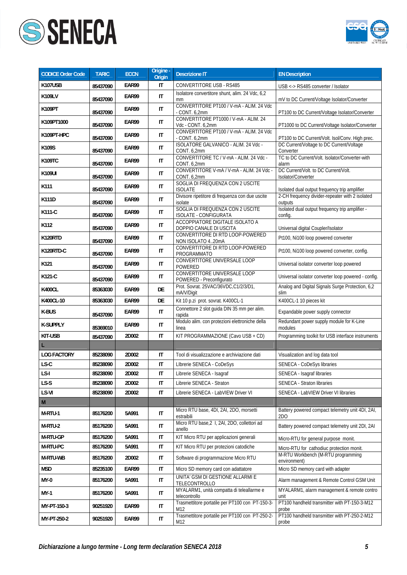



| <b>CODICE Order Code</b>                                                                                   | <b>TARIC</b> | <b>ECCN</b> | Origine -<br>Origin    | <b>Descrizione IT</b>                                       | <b>EN Description</b>                                      |
|------------------------------------------------------------------------------------------------------------|--------------|-------------|------------------------|-------------------------------------------------------------|------------------------------------------------------------|
| K107USB                                                                                                    | 85437090     | EAR99       | IT                     | <b>CONVERTITORE USB - RS485</b>                             | USB <-> RS485 converter / Isolator                         |
| K109LV                                                                                                     | 85437090     | EAR99       | $\mathsf{I}\mathsf{T}$ | Isolatore convertitore shunt, alim. 24 Vdc, 6,2<br>mm       | mV to DC Current/Voltage Isolator/Converter                |
| K109PT                                                                                                     | 85437090     | EAR99       | $\mathsf{I}\mathsf{T}$ | CONVERTITORE PT100 / V-mA - ALIM. 24 Vdc<br>- CONT. 6,2mm   | PT100 to DC Current/Voltage Isolator/Converter             |
| K109PT1000                                                                                                 | 85437090     | EAR99       | $\mathsf{I}\mathsf{T}$ | CONVERTITORE PT1000 / V-mA - ALIM. 24<br>Vdc - CONT. 6,2mm  | PT1000 to DC Current/Voltage Isolator/Converter            |
| K109PT-HPC                                                                                                 | 85437090     | EAR99       | IT                     | CONVERTITORE PT100 / V-mA - ALIM. 24 Vdc<br>$-CONT. 6, 2mm$ | PT100 to DC Current/Volt. Isol/Conv. High prec.            |
| K109S                                                                                                      | 85437090     | EAR99       | $\mathsf{I}\mathsf{T}$ | ISOLATORE GALVANICO - ALIM. 24 Vdc -<br>CONT. 6,2mm         | DC Current/Voltage to DC Current/Voltage<br>Converter      |
| K109TC                                                                                                     | 85437090     | EAR99       | IT                     | CONVERTITORE TC / V-mA - ALIM. 24 Vdc -<br>CONT. 6,2mm      | TC to DC Current/Volt. Isolator/Converter-with<br>alarm    |
| K109UI                                                                                                     | 85437090     | EAR99       | $\mathsf{I}\mathsf{T}$ | CONVERTITORE V-mA / V-mA - ALIM. 24 Vdc -<br>CONT. 6,2mm    | DC Current/Volt. to DC Current/Volt.<br>Isolator/Converter |
| K111                                                                                                       | 85437090     | EAR99       | $\mathsf{I}\mathsf{T}$ | SOGLIA DI FREQUENZA CON 2 USCITE<br><b>ISOLATE</b>          | Isolated dual output frequency trip amplifier              |
| K111D                                                                                                      | 85437090     | EAR99       | $\mathsf{I}\mathsf{T}$ | Divisore ripetitore di frequenza con due uscite<br>isolate  | 2-CH frequency divider-repeater with 2 isolated<br>outputs |
| K111-C                                                                                                     | 85437090     | EAR99       | IT                     | SOGLIA DI FREQUENZA CON 2 USCITE<br>ISOLATE - CONFIGURATA   | Isolated dual output frequency trip amplifier -<br>config. |
| K112                                                                                                       | 85437090     | EAR99       | IT                     | ACCOPPIATORE DIGITALE ISOLATO A<br>DOPPIO CANALE DI USCITA  | Universal digital Coupler/Isolator                         |
| K120RTD                                                                                                    | 85437090     | EAR99       | $\mathsf{I}\mathsf{T}$ | CONVERTITORE DI RTD LOOP-POWERED<br>NON ISOLATO 420mA       | Pt100, Ni100 loop powered converter                        |
| K120RTD-C                                                                                                  | 85437090     | EAR99       | IT                     | CONVERTITORE DI RTD LOOP-POWERED<br>PROGRAMMATO             | Pt100, Ni100 loop powered converter, config.               |
| K121                                                                                                       | 85437090     | EAR99       | IT                     | CONVERTITORE UNIVERSALE LOOP<br>POWERED                     | Universal isolator converter loop powered                  |
| K121-C                                                                                                     | 85437090     | EAR99       | IT                     | CONVERTITORE UNIVERSALE LOOP<br>POWERED - Preconfigurato    | Universal isolator converter loop powered - config.        |
| <b>K400CL</b>                                                                                              | 85363030     | EAR99       | DE                     | Prot. Sovrat. 25VAC/36VDC,C1/2/3/D1,<br>mA/V/Digit          | Analog and Digital Signals Surge Protection, 6,2<br>slim   |
| K400CL-10                                                                                                  | 85363030     | EAR99       | DE                     | Kit 10 p.zi prot. sovrat. K400CL-1                          | K400CL-1 10 pieces kit                                     |
| K-BUS                                                                                                      | 85437090     | EAR99       | $\mathsf{I}\mathsf{T}$ | Connettore 2 slot guida DIN 35 mm per alim.<br>rapida       | Expandable power supply connector                          |
| <b>K-SUPPLY</b>                                                                                            | 85369010     | EAR99       | IT                     | Modulo alim. con protezioni elettroniche della<br>linea     | Redundant power supply module for K-Line<br>modules        |
| KIT-USB                                                                                                    | 85437090     | 2D002       | IT                     | KIT PROGRAMMAZIONE (Cavo USB + CD)                          | Programming toolkit for USB interface instruments          |
|                                                                                                            |              |             |                        |                                                             |                                                            |
| <b>LOG FACTORY</b>                                                                                         | 85238090     | 2D002       | IT                     | Tool di visualizzazione e archiviazione dati                | Visualization and log data tool                            |
| LS-C                                                                                                       | 85238090     | 2D002       | IT                     | Librerie SENECA - CoDeSys                                   | SENECA - CoDeSys libraries                                 |
| LS-I                                                                                                       | 85238090     | 2D002       | IT                     | Librerie SENECA - Isagraf                                   | SENECA - Isagraf libraries                                 |
| LS-S                                                                                                       | 85238090     | 2D002       | IT                     | Librerie SENECA - Straton                                   | SENECA - Straton libraries                                 |
| LS-VI                                                                                                      | 85238090     | 2D002       | $\mathsf{I}\mathsf{T}$ | Librerie SENECA - LabVIEW Driver VI                         | SENECA - LabVIEW Driver VI libraries                       |
| $\mathsf{M}% _{T}=\mathsf{M}_{T}\!\left( a,b\right) ,\ \mathsf{M}_{T}=\mathsf{M}_{T}\!\left( a,b\right) ,$ |              |             |                        |                                                             |                                                            |
| M-RTU-1                                                                                                    | 85176200     | 5A991       | IT                     | Micro RTU base, 4DI, 2AI, 2DO, morsetti<br>estraibili       | Battery powered compact telemetry unit 4DI, 2AI,<br>2DO    |
| M-RTU-2                                                                                                    | 85176200     | 5A991       | IT                     | Micro RTU base, 2 I, 2AI, 2DO, collettori ad<br>anello      | Battery powered compact telemetry unit 2DI, 2AI            |
| M-RTU-GP                                                                                                   | 85176200     | 5A991       | IT                     | KIT Micro RTU per applicazioni generali                     | Micro-RTU for general purpose monit.                       |
| M-RTU-PC                                                                                                   | 85176200     | 5A991       | IT                     | KIT Micro RTU per protezioni catodiche                      | Micro-RTU for cathodiuc protection monit.                  |
| M-RTU-WB                                                                                                   | 85176200     | 2D002       | IT                     | Software di programmazione Micro RTU                        | M-RTU Workbench (M-RTU programming<br>environment)         |
| <b>MSD</b>                                                                                                 | 85235100     | EAR99       | IT                     | Micro SD memory card con adattatore                         | Micro SD memory card with adapter                          |
| MY-0                                                                                                       | 85176200     | 5A991       | IT                     | UNITA' GSM DI GESTIONE ALLARMI E<br>TELECONTROLLO           | Alarm management & Remote Control GSM Unit                 |
| MY-1                                                                                                       | 85176200     | 5A991       | IT                     | MYALARM1, unità compatta di teleallarme e<br>telecontrollo  | MYALARM1, alarm management & remote contro<br>unit         |
| MY-PT-150-3                                                                                                | 90251920     | EAR99       | IT                     | Trasmettitore portatile per PT100 con PT-150-3-<br>M12      | PT100 handheld transmitter with PT-150-3-M12<br>probe      |
| MY-PT-250-2                                                                                                | 90251920     | EAR99       | $\mathsf{I}\mathsf{T}$ | Trasmettitore portatile per PT100 con PT-250-2-<br>M12      | PT100 handheld transmitter with PT-250-2-M12<br>probe      |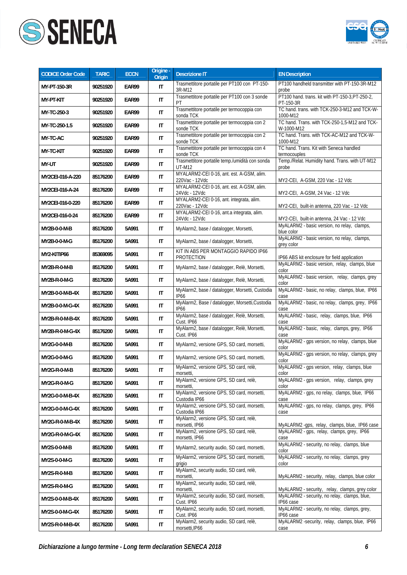



| <b>CODICE Order Code</b> | <b>TARIC</b> | <b>ECCN</b> | Origine -<br>Origin    | <b>Descrizione IT</b>                                               | <b>EN Description</b>                                        |
|--------------------------|--------------|-------------|------------------------|---------------------------------------------------------------------|--------------------------------------------------------------|
| MY-PT-150-3R             | 90251920     | EAR99       | IT                     | Trasmettitore portatile per PT100 con PT-150-<br>3R-M12             | PT100 handheld transmitter with PT-150-3R-M12<br>probe       |
| MY-PT-KIT                | 90251920     | EAR99       | $\mathsf{I}$           | Trasmettitore portatile per PT100 con 3 sonde<br>PT                 | PT100 hand. trans. kit with PT-150-3, PT-250-2,<br>PT-150-3R |
| MY-TC-250-3              | 90251920     | EAR99       | $\mathsf{I}\mathsf{T}$ | Trasmettitore portatile per termocoppia con<br>sonda TCK            | TC hand. trans. with TCK-250-3-M12 and TCK-W-<br>1000-M12    |
| MY-TC-250-1.5            | 90251920     | EAR99       | $\mathsf{I}\mathsf{T}$ | Trasmettitore portatile per termocoppia con 2<br>sonde TCK          | TC hand. Trans. with TCK-250-1,5-M12 and TCK-<br>W-1000-M12  |
| MY-TC-AC                 | 90251920     | EAR99       | $\mathsf{I}\mathsf{T}$ | Trasmettitore portatile per termocoppia con 2<br>sonde TCK          | TC hand. Trans. with TCK-AC-M12 and TCK-W-<br>1000-M12       |
| <b>MY-TC-KIT</b>         | 90251920     | EAR99       | $\mathsf{I}\mathsf{T}$ | Trasmettitore portatile per termocoppia con 4<br>sonde TCK          | TC hand. Trans. Kit with Seneca handled<br>termocouples      |
| MY-UT                    | 90251920     | EAR99       | IT                     | Trasmettitore portatile temp./umidità con sonda<br><b>UT-M12</b>    | Temp./Relat. Humidity hand. Trans. with UT-M12<br>probe      |
| MY2CEI-016-A-220         | 85176200     | EAR99       | IT                     | MYALARM2-CEI 0-16, ant. est. A-GSM, alim.<br>220Vac - 12Vdc         | MY2-CEI, A-GSM, 220 Vac - 12 Vdc                             |
| MY2CEI-016-A-24          | 85176200     | EAR99       | IT                     | MYALARM2-CEI 0-16, ant. est. A-GSM, alim.<br>24Vdc - 12Vdc          | MY2-CEI, A-GSM, 24 Vac - 12 Vdc                              |
| MY2CEI-016-0-220         | 85176200     | EAR99       | IT                     | MYALARM2-CEI 0-16, ant. integrata, alim.<br>220Vac - 12Vdc          | MY2-CEI, built-in antenna, 220 Vac - 12 Vdc                  |
| MY2CEI-016-0-24          | 85176200     | EAR99       | $\mathsf{I}\mathsf{T}$ | MYALARM2-CEI 0-16, ant.a integrata, alim.<br>24Vdc - 12Vdc          | MY2-CEI, built-in antenna, 24 Vac - 12 Vdc                   |
| MY2B-0-0-M-B             | 85176200     | 5A991       | IT                     | MyAlarm2, base / datalogger, Morsetti,                              | MyALARM2 - basic version, no relay, clamps,<br>blue color    |
| MY2B-0-0-M-G             | 85176200     | 5A991       | IT                     | MyAlarm2, base / datalogger, Morsetti,                              | MyALARM2 - basic version, no relay, clamps,<br>grey color    |
| MY2-KITIP66              | 85369095     | 5A991       | IT                     | KIT IN ABS PER MONTAGGIO RAPIDO IP66<br>PROTECTION                  | IP66 ABS kit enclosure for field application                 |
| MY2B-R-0-M-B             | 85176200     | 5A991       | IT                     | MyAlarm2, base / datalogger, Relè, Morsetti,                        | MyALARM2 - basic version, relay, clamps, blue<br>color       |
| MY2B-R-0-M-G             | 85176200     | 5A991       | IT                     | MyAlarm2, base / datalogger, Relè, Morsetti,                        | MyALARM2 - basic version, relay, clamps, grey<br>color       |
| MY2B-0-0-M-B-4X          | 85176200     | 5A991       | $\mathsf{I}\mathsf{T}$ | MyAlarm2, base / datalogger, Morsetti, Custodia<br><b>IP66</b>      | MyALARM2 - basic, no relay, clamps, blue, IP66<br>case       |
| MY2B-0-0-M-G-4X          | 85176200     | 5A991       | IT                     | MyAlarm2, Base / datalogger, Morsetti, Custodia<br>IP <sub>66</sub> | MyALARM2 - basic, no relay, clamps, grey, IP66<br>case       |
| MY2B-R-0-M-B-4X          | 85176200     | 5A991       | $\mathsf{I}\mathsf{T}$ | MyAlarm2, base / datalogger, Relè, Morsetti,<br>Cust. IP66          | MyALARM2 - basic, relay, clamps, blue, IP66<br>case          |
| MY2B-R-0-M-G-4X          | 85176200     | 5A991       | IT                     | MyAlarm2, base / datalogger, Relè, Morsetti,<br>Cust. IP66          | MyALARM2 - basic, relay, clamps, grey, IP66<br>case          |
| MY2G-0-0-M-B             | 85176200     | 5A991       | IT                     | MyAlarm2, versione GPS, SD card, morsetti,                          | MyALARM2 - gps version, no relay, clamps, blue<br>color      |
| MY2G-0-0-M-G             | 85176200     | 5A991       | IT                     | MyAlarm2, versione GPS, SD card, morsetti,                          | MyALARM2 - gps version, no relay, clamps, grey<br>color      |
| MY2G-R-0-M-B             | 85176200     | 5A991       | IT                     | MyAlarm2, versione GPS, SD card, relè,<br>morsetti,                 | MyALARM2 - gps version, relay, clamps, blue<br>COIOL         |
| MY2G-R-0-M-G             | 85176200     | 5A991       | IT                     | MyAlarm2, versione GPS, SD card, relè,<br>morsetti,                 | MyALARM2 - qps version, relay, clamps, grey<br>color         |
| MY2G-0-0-M-B-4X          | 85176200     | 5A991       | IT                     | MyAlarm2, versione GPS, SD card, morsetti,<br>Custodia IP66         | MyALARM2 - qps, no relay, clamps, blue, IP66<br>case         |
| MY2G-0-0-M-G-4X          | 85176200     | 5A991       | IT                     | MyAlarm2, versione GPS, SD card, morsetti,<br>Custodia IP66         | MyALARM2 - gps, no relay, clamps, grey, IP66<br>case         |
| MY2G-R-0-M-B-4X          | 85176200     | 5A991       | IT                     | MyAlarm2, versione GPS, SD card, relè,<br>morsetti, IP66            | MyALARM2 -gps, relay, clamps, blue, IP66 case                |
| MY2G-R-0-M-G-4X          | 85176200     | 5A991       | IT                     | MyAlarm2, versione GPS, SD card, relè,<br>morsetti, IP66            | MyALARM2 - gps, relay, clamps, grey, IP66<br>case            |
| MY2S-0-0-M-B             | 85176200     | 5A991       | IT                     | MyAlarm2, security audio, SD card, morsetti,                        | MyALARM2 - security, no relay, clamps, blue<br>color         |
| MY2S-0-0-M-G             | 85176200     | 5A991       | $\sf IT$               | MyAlarm2, versione GPS, SD card, morsetti,<br>grigio                | MyALARM2 - security, no relay, clamps, grey<br>color         |
| MY2S-R-0-M-B             | 85176200     | 5A991       | IT                     | MyAlarm2, security audio, SD card, relè,<br>morsetti,               | MyALARM2 - security, relay, clamps, blue color               |
| MY2S-R-0-M-G             | 85176200     | 5A991       | IT                     | MyAlarm2, security audio, SD card, relè,<br>morsetti,               | MyALARM2 - security, relay, clamps, grey color               |
| MY2S-0-0-M-B-4X          | 85176200     | 5A991       | IT                     | MyAlarm2, security audio, SD card, morsetti,<br>Cust. IP66          | MyALARM2 - security, no relay, clamps, blue,<br>IP66 case    |
| MY2S-0-0-M-G-4X          | 85176200     | 5A991       | IT                     | MyAlarm2, security audio, SD card, morsetti,<br>Cust. IP66          | MyALARM2 - security, no relay, clamps, grey,<br>IP66 case    |
| MY2S-R-0-M-B-4X          | 85176200     | 5A991       | IT                     | MyAlarm2, security audio, SD card, relè,<br>morsetti, IP66          | MyALARM2 -security, relay, clamps, blue, IP66<br>case        |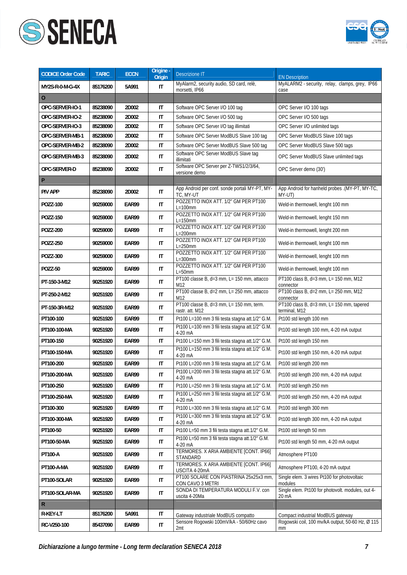



| <b>CODICE Order Code</b> | <b>TARIC</b> | <b>ECCN</b>  | Origine -<br>Origin    | Descrizione IT                                              | <b>EN Description</b>                                      |
|--------------------------|--------------|--------------|------------------------|-------------------------------------------------------------|------------------------------------------------------------|
| MY2S-R-0-M-G-4X          | 85176200     | 5A991        | IT                     | MyAlarm2, security audio, SD card, relè,<br>morsetti, IP66  | MyALARM2 - security, relay, clamps, grey, IP66<br>case     |
| 0                        |              |              |                        |                                                             |                                                            |
| OPC-SERVER-IO-1          | 85238090     | 2D002        | IT                     | Software OPC Server I/O 100 tag                             | OPC Server I/O 100 tags                                    |
| OPC-SERVER-IO-2          | 85238090     | 2D002        | $\mathsf{I}\mathsf{T}$ | Software OPC Server I/O 500 tag                             | OPC Server I/O 500 tags                                    |
| OPC-SERVER-IO-3          | 85238090     | 2D002        | IT                     | Software OPC Server I/O tag illimitati                      | OPC Server I/O unlimited tags                              |
| OPC-SERVER-MB-1          | 85238090     | 2D002        | $\mathsf{I}\mathsf{T}$ | Software OPC Server ModBUS Slave 100 tag                    | OPC Server ModBUS Slave 100 tags                           |
| OPC-SERVER-MB-2          | 85238090     | 2D002        | $\mathsf{I}\mathsf{T}$ | Software OPC Server ModBUS Slave 500 tag                    | OPC Server ModBUS Slave 500 tags                           |
| OPC-SERVER-MB-3          | 85238090     | 2D002        | $\mathsf{I}\mathsf{T}$ | Software OPC Server ModBUS Slave tag<br>illimitati          | OPC Server ModBUS Slave unlimited tags                     |
| OPC-SERVER-D             | 85238090     | 2D002        | IT                     | Software OPC Server per Z-TWS1/2/3/64,<br>versione demo     | OPC Server demo (30')                                      |
| P                        |              |              |                        |                                                             |                                                            |
| <b>PIV APP</b>           | 85238090     | 2D002        | IT                     | App Android per conf. sonde portali MY-PT, MY-<br>TC, MY-UT | App Android for hanheld probes .(MY-PT, MY-TC,<br>MY-UT)   |
| POZZ-100                 | 90259000     | EAR99        | $\mathsf{I}\mathsf{T}$ | POZZETTO INOX ATT. 1/2" GM PER PT100<br>$L=100$ mm          | Weld-in thermowell, lenght 100 mm                          |
| POZZ-150                 | 90259000     | <b>EAR99</b> | $\mathsf{I}\mathsf{T}$ | POZZETTO INOX ATT. 1/2" GM PER PT100<br>$L=150$ mm          | Weld-in thermowell, lenght 150 mm                          |
| <b>POZZ-200</b>          | 90259000     | <b>EAR99</b> | $\mathsf{I}\mathsf{T}$ | POZZETTO INOX ATT. 1/2" GM PER PT100<br>$L=200$ mm          | Weld-in thermowell, lenght 200 mm                          |
| POZZ-250                 | 90259000     | EAR99        | $\mathsf{I}\mathsf{T}$ | POZZETTO INOX ATT. 1/2" GM PER PT100<br>$L = 250$ mm        | Weld-in thermowell, lenght 100 mm                          |
| POZZ-300                 | 90259000     | EAR99        | IT                     | POZZETTO INOX ATT. 1/2" GM PER PT100<br>$L = 300$ mm        | Weld-in thermowell, lenght 100 mm                          |
| <b>POZZ-50</b>           | 90259000     | EAR99        | IT                     | POZZETTO INOX ATT. 1/2" GM PER PT100<br>$L = 50$ mm         | Weld-in thermowell, lenght 100 mm                          |
| PT-150-3-M12             | 90251920     | EAR99        | IT                     | PT100 classe B, d=3 mm, L= 150 mm, attacco<br>M12           | PT100 class B, d=3 mm, L= 150 mm, M12<br>connector         |
| PT-250-2-M12             | 90251920     | EAR99        | $\mathsf{I}\mathsf{T}$ | PT100 classe B, d=2 mm, L= 250 mm, attacco<br>M12           | PT100 class B, d=2 mm, L= 250 mm, M12<br>connector         |
| PT-150-3R-M12            | 90251920     | EAR99        | $\mathsf{I}\mathsf{T}$ | PT100 classe B, d=3 mm, L= 150 mm, term.<br>rastr. att. M12 | PT100 class B, d=3 mm, L= 150 mm, tapered<br>terminal, M12 |
| PT100-100                | 90251920     | EAR99        | IT                     | Pt100 L=100 mm 3 fili testa stagna att.1/2" G.M.            | Pt100 std length 100 mm                                    |
| PT100-100-MA             | 90251920     | EAR99        | IT                     | Pt100 L=100 mm 3 fili testa stagna att.1/2" G.M.<br>4-20 mA | Pt100 std length 100 mm, 4-20 mA output                    |
| PT100-150                | 90251920     | EAR99        | IT                     | Pt100 L=150 mm 3 fili testa stagna att.1/2" G.M.            | Pt100 std length 150 mm                                    |
| PT100-150-MA             | 90251920     | EAR99        | IT                     | Pt100 L=150 mm 3 fili testa stagna att.1/2" G.M.<br>4-20 mA | Pt100 std length 150 mm, 4-20 mA output                    |
| PT100-200                | 90251920     | EAR99        | IT                     | Pt100 L=200 mm 3 fili testa stagna att.1/2" G.M.            | Pt100 std length 200 mm                                    |
| PT100-200-MA             | 90251920     | EAR99        | $\sf IT$               | Pt100 L=200 mm 3 fili testa stagna att.1/2" G.M.<br>4-20 mA | Pt100 std length 200 mm, 4-20 mA output                    |
| PT100-250                | 90251920     | EAR99        | IT                     | Pt100 L=250 mm 3 fili testa stagna att.1/2" G.M.            | Pt100 std length 250 mm                                    |
| PT100-250-MA             | 90251920     | EAR99        | $\mathsf{I}\mathsf{T}$ | Pt100 L=250 mm 3 fili testa stagna att.1/2" G.M.<br>4-20 mA | Pt100 std length 250 mm, 4-20 mA output                    |
| PT100-300                | 90251920     | EAR99        | IT                     | Pt100 L=300 mm 3 fili testa stagna att.1/2" G.M.            | Pt100 std length 300 mm                                    |
| PT100-300-MA             | 90251920     | EAR99        | $\mathsf{I}\mathsf{T}$ | Pt100 L=300 mm 3 fili testa stagna att.1/2" G.M.<br>4-20 mA | Pt100 std length 300 mm, 4-20 mA output                    |
| PT100-50                 | 90251920     | EAR99        | $\sf IT$               | Pt100 L=50 mm 3 fili testa stagna att.1/2" G.M.             | Pt100 std length 50 mm                                     |
| PT100-50-MA              | 90251920     | EAR99        | IT                     | Pt100 L=50 mm 3 fili testa stagna att.1/2" G.M.<br>4-20 mA  | Pt100 std length 50 mm, 4-20 mA output                     |
| PT100-A                  | 90251920     | EAR99        | $\sf IT$               | TERMORES. X ARIA AMBIENTE [CONT. IP66]<br>STANDARD          | Atmosphere PT100                                           |
| <b>PT100-A-MA</b>        | 90251920     | EAR99        | $\mathsf{I}\mathsf{T}$ | TERMORES. X ARIA AMBIENTE [CONT. IP66]<br>USCITA 4-20mA     | Atmosphere PT100, 4-20 mA output                           |
| PT100-SOLAR              | 90251920     | EAR99        | IT                     | PT100 SOLARE CON PIASTRINA 25x25x3 mm,<br>CON CAVO 3 METRI  | Single elem. 3 wires Pt100 for photovoltaic<br>modules     |
| PT100-SOLAR-MA           | 90251920     | EAR99        | $\mathsf{I}\mathsf{T}$ | SONDA DI TEMPERATURA MODULI F.V. con<br>uscita 4-20Ma       | Single elem. Pt100 for photovolt. modules, out 4-<br>20 mA |
| $\mathsf R$              |              |              |                        |                                                             |                                                            |
| R-KEY-LT                 | 85176200     | 5A991        | IT                     | Gateway industriale ModBUS compatto                         | Compact industrial ModBUS gateway                          |
| RC-V250-100              | 85437090     | EAR99        | $\sf IT$               | Sensore Rogowski 100mV/kA - 50/60Hz cavo<br>2mt             | Rogowski coil, 100 mv/kA output, 50-60 Hz, Ø 115<br>mm     |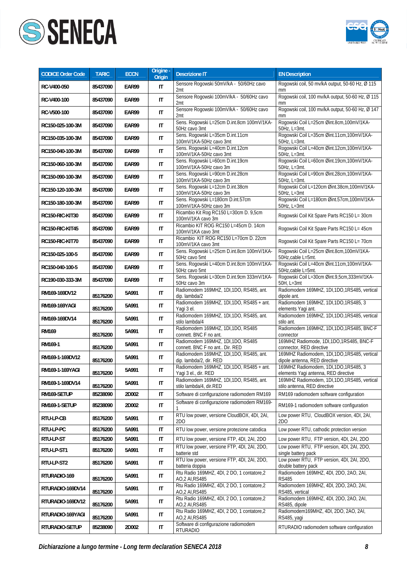



| <b>CODICE Order Code</b> | <b>TARIC</b>         | <b>ECCN</b>    | Origine -<br><b>Origin</b> | <b>Descrizione IT</b>                                                                     | <b>EN Description</b>                                                                   |
|--------------------------|----------------------|----------------|----------------------------|-------------------------------------------------------------------------------------------|-----------------------------------------------------------------------------------------|
| RC-V400-050              | 85437090             | EAR99          | IT                         | Sensore Rogowski 50mV/kA - 50/60Hz cavo<br>2mt                                            | Rogowski coil, 50 mv/kA output, 50-60 Hz, Ø 115<br>mm                                   |
| RC-V400-100              | 85437090             | EAR99          | $\mathsf{I}\mathsf{T}$     | Sensore Rogowski 100mV/kA - 50/60Hz cavo<br>2mt                                           | Rogowski coil, 100 mv/kA output, 50-60 Hz, Ø 115<br>mm                                  |
| RC-V500-100              | 85437090             | EAR99          | IT                         | Sensore Rogowski 100mV/kA - 50/60Hz cavo<br>2mt                                           | Rogowski coil, 100 mv/kA output, 50-60 Hz, Ø 147<br>mm                                  |
| RC150-025-100-3M         | 85437090             | EAR99          | IT                         | Sens. Rogowski L=25cm D.int.8cm 100mV/1KA-<br>50Hz cavo 3mt                               | Rogowski Coil L=25cm Øint.8cm,100mV/1KA-<br>50Hz, L=3mt.                                |
| RC150-035-100-3M         | 85437090             | EAR99          | $\mathsf{I}\mathsf{T}$     | Sens. Rogowski L=35cm D.int.11cm<br>100mV/1KA-50Hz cavo 3mt                               | Rogowski Coil L=35cm Øint.11cm,100mV/1KA-<br>50Hz, L=3mt.                               |
| RC150-040-100-3M         | 85437090             | EAR99          | IT                         | Sens. Rogowski L=40cm D.int.12cm<br>100mV/1KA-50Hz cavo 3mt                               | Rogowski Coil L=40cm Øint.12cm,100mV/1KA-<br>50Hz, L=3mt.                               |
| RC150-060-100-3M         | 85437090             | EAR99          | $\mathsf{I}\mathsf{T}$     | Sens. Rogowski L=60cm D.int.19cm<br>100mV/1KA-50Hz cavo 3m                                | Rogowski Coil L=60cm Øint.19cm,100mV/1KA-<br>50Hz, L=3mt.                               |
| RC150-090-100-3M         | 85437090             | EAR99          | $\mathsf{I}\mathsf{T}$     | Sens. Rogowski L=90cm D.int.28cm<br>100mV/1KA-50Hz cavo 3m                                | Rogowski Coil L=90cm Øint.28cm,100mV/1KA-<br>50Hz, L=3mt.                               |
| RC150-120-100-3M         | 85437090             | EAR99          | $\mathsf{I}\mathsf{T}$     | Sens. Rogowski L=12cm D.int.38cm<br>100mV/1KA-50Hz cavo 3m                                | Rogowski Coil L=120cm Øint.38cm,100mV/1KA-<br>$50Hz$ , L= $3mt$                         |
| RC150-180-100-3M         | 85437090             | EAR99          | $\mathsf{I}\mathsf{T}$     | Sens. Rogowski L=180cm D.int.57cm<br>100mV/1KA-50Hz cavo 3m                               | Rogowski Coil L=180cm Øint.57cm,100mV/1KA-<br>$50Hz$ , L=3mt                            |
| RC150-RIC-KIT30          | 85437090             | EAR99          | $\mathsf{I}\mathsf{T}$     | Ricambio Kit Rog RC150 L=30cm D. 9,5cm<br>100mV/1KA cavo 3m                               | Rogowski Coil Kit Spare Parts RC150 L= 30cm                                             |
| RC150-RIC-KIT45          | 85437090             | EAR99          | $\sf IT$                   | Ricambio KIT ROG RC150 L=45cm D. 14cm<br>100mV/1KA cavo 3mt                               | Rogowski Coil Kit Spare Parts RC150 L= 45cm                                             |
| RC150-RIC-KIT70          | 85437090             | EAR99          | $\mathsf{I}\mathsf{T}$     | Ricambio KIT ROG RC150 L=70cm D. 22cm                                                     | Rogowski Coil Kit Spare Parts RC150 L= 70cm                                             |
| RC150-025-100-5          | 85437090             | EAR99          | IT                         | 100mV/1KA cavo 3mt<br>Sens. Rogowski L=25cm D.int.8cm 100mV/1KA-                          | Rogowski Coil L=25cm Øint.8cm,100mV/1KA-                                                |
| RC150-040-100-5          | 85437090             | EAR99          | $\mathsf{I}\mathsf{T}$     | 50Hz cavo 5mt<br>Sens. Rogowski L=40cm D.int.8cm 100mV/1KA-                               | 50Hz, cable L=5mt.<br>Rogowski Coil L=40cm Øint.11cm,100mV/1KA-                         |
| RC190-030-333-3M         | 85437090             | EAR99          | IT                         | 50Hz cavo 5mt<br>Sens. Rogowski L=30cm D.int.9cm 333mV/1KA-                               | 50Hz,cable L=5mt.<br>Rogowski Coil L=30cm Øint.9,5cm,333mV/1KA-                         |
| RM169-169DV12            |                      | 5A991          | $\mathsf{I}\mathsf{T}$     | 50Hz cavo 3m<br>Radiomodem 169MHZ, 1DI, 1DO, RS485, ant.                                  | 50H, L=3mt<br>Radiomodem 169MHZ, 1DI,1DO,1RS485, vertical                               |
| RM169-169YAGI            | 85176200             | 5A991          | IT                         | dip. lambda/2<br>Radiomodem 169MHZ, 1DI, 1DO, RS485 + ant.                                | dipole ant.<br>Radiomodem 169MHZ, 1DI, 1DO, 1RS485, 3                                   |
| RM169-169DV14            | 85176200             | 5A991          | $\sf IT$                   | Yagi 3 el.<br>Radiomodem 169MHZ, 1DI, 1DO, RS485, ant.                                    | elements Yagi ant.<br>Radiomodem 169MHZ, 1DI,1DO,1RS485, vertical                       |
| <b>RM169</b>             | 85176200             | 5A991          | $\mathsf{I}\mathsf{T}$     | stilo lambda/4<br>Radiomodem 169MHZ, 1DI, 1DO, RS485                                      | stilo ant.<br>Radiomodem 169MHZ, 1DI, 1DO, 1RS485, BNC-F                                |
| RM169-1                  | 85176200             | 5A991          | $\mathsf{I}\mathsf{T}$     | connett. BNC F no ant.<br>Radiomodem 169MHZ, 1DI,1DO, RS485                               | connector<br>169MHZ Radiomode, 1DI, 1DO, 1RS485, BNC-F                                  |
| RM169-1-169DV12          | 85176200             | 5A991          | $\mathsf{I}\mathsf{T}$     | connett. BNC F no ant Dir. RED<br>Radiomodem 169MHZ, 1DI, 1DO, RS485, ant.                | connector, RED directive<br>169MHZ Radiomodem, 1DI,1DO,1RS485, vertical                 |
| RM169-1-169YAGI          | 85176200             | 5A991          | IT                         | dip. lambda/2, dir. RED<br>Radiomodem 169MHZ, 1DI, 1DO, RS485 + ant.                      | dipole antenna, RED directive<br>169MHZ Radiomodem, 1DI,1DO,1RS485, 3                   |
| RM169-1-169DV14          | 85176200             | 5A991          | IT                         | Yagi 3 el., dir. RED<br>Radiomodem 169MHZ, 1DI,1DO, RS485, ant.                           | elements Yagi antenna, RED directive<br>169MHZ Radiomodem, 1DI,1DO,1RS485, vertical     |
| RM169-SETUP              | 85176200<br>85238090 | 2D002          | IT                         | stilo lambda/4, dir.RED<br>Software di configurazione radiomodem RM169                    | stilo antenna, RED directive<br>RM169 radiomodem software configuration                 |
| RM169-1-SETUP            | 85238090             | 2D002          | IT                         | Software di configurazione radiomodem RM169-                                              | RM169-1 radiomodem software configuration                                               |
| RTU-LP-CB                | 85176200             | 5A991          | IT                         | RTU low power, versione CloudBOX, 4DI, 2AI,                                               | Low power RTU, CloudBOX version, 4DI, 2AI,                                              |
|                          |                      |                |                            | 2D <sub>O</sub>                                                                           | 2DO                                                                                     |
| RTU-LP-PC<br>RTU-LP-ST   | 85176200<br>85176200 | 5A991<br>5A991 | IT<br>IT                   | RTU low power, versione protezione catodica<br>RTU low power, versione FTP, 4DI, 2AI, 2DO | Low power RTU, cathodic protection version<br>Low power RTU, FTP version, 4DI, 2AI, 2DO |
|                          |                      |                |                            | RTU low power, versione FTP, 4DI, 2AI, 2DO,                                               | Low power RTU, FTP version, 4DI, 2AI, 2DO,                                              |
| RTU-LP-ST1               | 85176200             | 5A991          | IT                         | batterie std<br>RTU low power, versione FTP, 4DI, 2AI, 2DO,                               | single battery pack<br>Low power RTU, FTP version, 4DI, 2AI, 2DO,                       |
| RTU-LP-ST2               | 85176200             | 5A991          | IT                         | batteria doppia<br>Rtu Radio 169MHZ, 4DI, 2 DO, 1 contatore,2                             | double battery pack<br>Radiomodem 169MHZ, 4DI, 2DO, 2AO, 2AI,                           |
| RTURADIO-169             | 85176200             | 5A991          | IT                         | AO, 2 AI, RS485<br>Rtu Radio 169MHZ, 4DI, 2 DO, 1 contatore,2                             | <b>RS485</b><br>Radiomodem 169MHZ, 4DI, 2DO, 2AO, 2AI,                                  |
| RTURADIO-169DV14         | 85176200             | 5A991          | IT                         | AO, 2 AI, RS485<br>Rtu Radio 169MHZ, 4DI, 2 DO, 1 contatore,2                             | RS485, vertical<br>Radiomodem 169MHZ, 4DI, 2DO, 2AO, 2AI,                               |
| RTURADIO-169DV12         | 85176200             | 5A991          | IT                         | AO, 2 AI, RS485<br>Rtu Radio 169MHZ, 4DI, 2 DO, 1 contatore,2                             | RS485, dipole<br>Radiomodem169MHZ, 4DI, 2DO, 2AO, 2AI,                                  |
| RTURADIO-169YAGI         | 85176200             | 5A991          | IT                         | AO, 2 AI, RS485                                                                           | RS485, yagi                                                                             |
| RTURADIO-SETUP           | 85238090             | 2D002          | $\sf IT$                   | Software di configurazione radiomodem<br><b>RTURADIO</b>                                  | RTURADIO radiomodem software configuration                                              |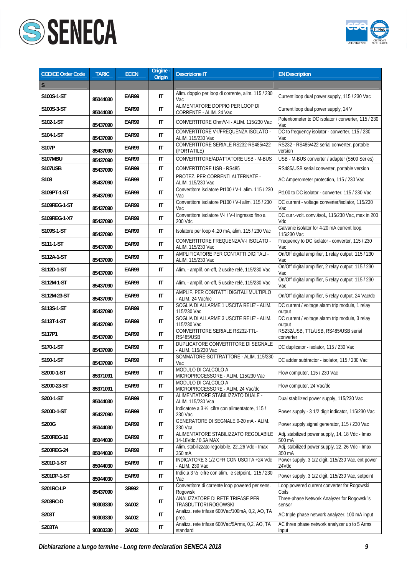



| <b>CODICE Order Code</b> | <b>TARIC</b> | <b>ECCN</b> | Origine -<br><b>Origin</b> | <b>Descrizione IT</b>                                       | <b>EN Description</b>                                      |
|--------------------------|--------------|-------------|----------------------------|-------------------------------------------------------------|------------------------------------------------------------|
| S                        |              |             |                            |                                                             |                                                            |
| S100S-1-ST               | 85044030     | EAR99       | IT                         | Alim. doppio per loop di corrente, alim. 115 / 230<br>Vac   | Current loop dual power supply, 115 / 230 Vac              |
| S100S-3-ST               | 85044030     | EAR99       | IT                         | ALIMENTATORE DOPPIO PER LOOP DI<br>CORRENTE - ALIM. 24 Vac  | Current loop dual power supply, 24 V                       |
| S102-1-ST                | 85437090     | EAR99       | IT                         | CONVERTITORE Ohm/V-I - ALIM. 115/230 Vac                    | Potentiometer to DC isolator / converter, 115 / 230<br>Vac |
| S104-1-ST                | 85437090     | EAR99       | IT                         | CONVERTITORE V-I/FREQUENZA ISOLATO -<br>ALIM. 115/230 Vac   | DC to frequency isolator - converter, 115 / 230<br>Vac     |
| S107P                    | 85437090     | EAR99       | IT                         | CONVERTITORE SERIALE RS232-RS485/422<br>(PORTATILE)         | RS232 - RS485/422 serial converter, portable<br>version    |
| S107MBU                  | 85437090     | EAR99       | IT                         | CONVERTITORE/ADATTATORE USB - M-BUS                         | USB - M-BUS converter / adapter (S500 Series)              |
| <b>S107USB</b>           | 85437090     | EAR99       | IT                         | <b>CONVERTITORE USB - RS485</b>                             | RS485/USB serial converter, portable version               |
| S108                     | 85437090     | EAR99       | IT                         | PROTEZ. PER CORRENTI ALTERNATE -<br>ALIM. 115/230 Vac       | AC Amperometer protection, 115 / 230 Vac                   |
| S109PT-1-ST              | 85437090     | EAR99       | IT                         | Convertitore isolatore Pt100 / V-I alim. 115 / 230<br>Vac   | Pt100 to DC isolator - converter, 115 / 230 Vac            |
| S109REG-1-ST             | 85437090     | EAR99       | IT                         | Convertitore isolatore Pt100 / V-I alim. 115 / 230<br>Vac   | DC current - voltage converter/isolator, 115/230<br>Vac    |
| S109REG-1-X7             | 85437090     | EAR99       | IT                         | Convertitore isolatore V-I / V-I ingresso fino a<br>200 Vdc | DC curr.-volt. conv./isol., 115/230 Vac, max in 200<br>Vdc |
| S109S-1-ST               | 85437090     | EAR99       | IT                         | Isolatore per loop 420 mA, alim. 115 / 230 Vac              | Galvanic isolator for 4-20 mA current loop,<br>115/230 Vac |
| S111-1-ST                | 85437090     | EAR99       | $\mathsf{I}\mathsf{T}$     | CONVERTITORE FREQUENZA/V-I ISOLATO -<br>ALIM. 115/230 Vac   | Frequency to DC isolator - converter, 115 / 230<br>Vac     |
| S112A-1-ST               | 85437090     | EAR99       | IT                         | AMPLIFICATORE PER CONTATTI DIGITALI -<br>ALIM. 115/230 Vac  | On/Off digital amplifier, 1 relay output, 115 / 230<br>Vac |
| S112D-1-ST               | 85437090     | EAR99       | IT                         | Alim. - amplif. on-off, 2 uscite relè, 115/230 Vac          | On/Off digital amplifier, 2 relay output, 115 / 230<br>Vac |
| S112M-1-ST               | 85437090     | EAR99       | IT                         | Alim. - amplif. on-off, 5 uscite relè, 115/230 Vac          | On/Off digital amplifier, 5 relay output, 115 / 230<br>Vac |
| S112M-23-ST              | 85437090     | EAR99       | IT                         | AMPLIF. PER CONTATTI DIGITALI MULTIPLO<br>- ALIM. 24 Vac/dc | On/Off digital amplifier, 5 relay output, 24 Vac/dc        |
| S113S-1-ST               | 85437090     | EAR99       | IT                         | SOGLIA DI ALLARME 1 USCITA RELE' - ALIM.<br>115/230 Vac     | DC current / voltage alarm trip module, 1 relay<br>output  |
| S113T-1-ST               | 85437090     | EAR99       | IT                         | SOGLIA DI ALLARME 3 USCITE RELE' - ALIM.<br>115/230 Vac     | DC current / voltage alarm trip module, 3 relay<br>output  |
| S117P1                   | 85437090     | EAR99       | IT                         | CONVERTITORE SERIALE RS232-TTL-<br><b>RS485/USB</b>         | RS232/USB, TTL/USB, RS485/USB serial<br>converter          |
| S170-1-ST                | 85437090     | EAR99       | IT                         | DUPLICATORE CONVERTITORE DI SEGNALE<br>- ALIM. 115/230 Vac  | DC duplicator - isolator, 115 / 230 Vac                    |
| S190-1-ST                | 85437090     | EAR99       | IT                         | SOMMATORE-SOTTRATTORE - ALIM. 115/230<br>Vac                | DC adder subtractor - isolator, 115 / 230 Vac              |
| S2000-1-ST               | 85371091     | EAR99       | $\sf IT$                   | MODULO DI CALCOLO A<br>MICROPROCESSORE - ALIM. 115/230 Vac  | Flow computer, 115 / 230 Vac                               |
| S2000-23-ST              | 85371091     | EAR99       | IT                         | MODULO DI CALCOLO A<br>MICROPROCESSORE - ALIM. 24 Vac/dc    | Flow computer, 24 Vac/dc                                   |
| S200-1-ST                | 85044030     | EAR99       | IT                         | ALIMENTATORE STABILIZZATO DUALE -<br>ALIM. 115/230 Vca      | Dual stabilized power supply, 115/230 Vac                  |
| S200D-1-ST               | 85437090     | EAR99       | IT                         | Indicatore a 3 1/2 cifre con alimentatore, 115 /<br>230 Vac | Power supply - 3 1/2 digit indicator, 115/230 Vac          |
| S200G                    | 85044030     | EAR99       | IT                         | GENERATORE DI SEGNALE 0-20 mA - ALIM.<br>230 Vca            | Power supply signal generator, 115 / 230 Vac               |
| S200REG-16               | 85044030     | EAR99       | IT                         | ALIMENTATORE STABILIZZATO REGOLABILE<br>14-18Vdc / 0,5A MAX | Adj. stabilized power supply, 1418 Vdc - Imax<br>500 mA    |
| S200REG-24               | 85044030     | EAR99       | IT                         | Alim. stabilizzato regolabile, 2226 Vdc - Imax<br>350 mA    | Adj. stabilized power supply, 2226 Vdc - Imax<br>350 mA    |
| S201D-1-ST               | 85044030     | EAR99       | IT                         | INDICATORE 3 1/2 CFR CON USCITA +24 Vdc<br>- ALIM. 230 Vac  | Power supply, 3 1/2 digit, 115/230 Vac, ext power<br>24Vdc |
| S201DP-1-ST              | 85044030     | EAR99       | IT                         | Indic.a 3 1/2 cifre con alim. e setpoint,. 115 / 230<br>Vac | Power supply, 3 1/2 digit, 115/230 Vac, setpoint           |
| S201RC-LP                | 85437090     | 3B992       | IT                         | Convertitore di corrente loop powered per sens.<br>Rogowski | Loop powered current converter for Rogowski<br>Coils       |
| S203RC-D                 | 90303330     | 3A002       | IT                         | ANALIZZATORE DI RETE TRIFASE PER<br>TRASDUTTORI ROGOWSKI    | Three-phase Network Analyzer for Rogowski's<br>sensor      |
| S203T                    | 90303330     | 3A002       | IT                         | Analizz. rete trifase 600Vac/100mA, 0,2, AO, TA<br>prec.    | AC triple phase network analyzer, 100 mA input             |
| <b>S203TA</b>            | 90303330     | 3A002       | IT                         | Analizz. rete trifase 600Vac/5Arms, 0,2, AO, TA<br>standard | AC three phase network analyzer up to 5 Arms<br>input      |

*Dichiarazione a lungo termine - Long term declaration SENECA 2018 9*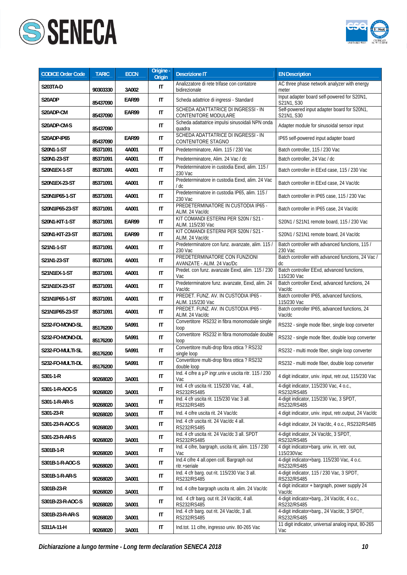



| CODICE Order Code | <b>TARIC</b> | <b>ECCN</b> | Origine -<br><b>Origin</b> | <b>Descrizione IT</b>                                            | <b>EN Description</b>                                      |
|-------------------|--------------|-------------|----------------------------|------------------------------------------------------------------|------------------------------------------------------------|
| S203TA-D          | 90303330     | 3A002       | IT                         | Analizzatore di rete trifase con contatore<br>bidirezionale      | AC three phase network analyzer with energy<br>meter       |
| S20ADP            | 85437090     | EAR99       | IT                         | Scheda adattrice di ingressi - Standard                          | Input adapter board self-powered for S20N1,<br>S21N1, S30  |
| S20ADP-CM         | 85437090     | EAR99       | $\sf IT$                   | SCHEDA ADATTATRICE DI INGRESSI - IN<br>CONTENITORE MODULARE      | Self-powered input adapter board for S20N1,<br>S21N1, S30  |
| S20ADP-CM-S       | 85437090     |             | $\mathsf{I}\mathsf{T}$     | Scheda adattatrice impulsi sinusoidali NPN onda<br>quadra        | Adapter module for sinusoidal sensor input                 |
| S20ADP-IP65       | 85437090     | EAR99       | $\mathsf{I}\mathsf{T}$     | SCHEDA ADATTATRICE DI INGRESSI - IN<br><b>CONTENITORE STAGNO</b> | IP65 self-powered input adapter board                      |
| S20N1-1-ST        | 85371091     | 4A001       | IT                         | Predeterminatore, Alim. 115 / 230 Vac                            | Batch controller, 115 / 230 Vac                            |
| S20N1-23-ST       | 85371091     | 4A001       | $\mathsf{I}\mathsf{T}$     | Predeterminatore, Alim. 24 Vac / dc                              | Batch controller, 24 Vac / dc                              |
| S20N1EX-1-ST      | 85371091     | 4A001       | $\mathsf{I}\mathsf{T}$     | Predeterminatore in custodia Eexd, alim. 115 /<br>230 Vac        | Batch controller in EExd case, 115 / 230 Vac               |
| S20N1EX-23-ST     | 85371091     | 4A001       | $\mathsf{I}\mathsf{T}$     | Predeterminatore in custodia Eexd, alim. 24 Vac<br>/ dc          | Batch controller in EExd case, 24 Vac/dc                   |
| S20N1IP65-1-ST    | 85371091     | 4A001       | $\mathsf{I}\mathsf{T}$     | Predeterminatore in custodia IP65, alim. 115 /<br>230 Vac        | Batch controller in IP65 case, 115 / 230 Vac               |
| S20N1IP65-23-ST   | 85371091     | 4A001       | IT                         | PREDETERMINATORE IN CUSTODIA IP65 -<br>ALIM. 24 Vac/dc           | Batch controller in IP65 case, 24 Vac/dc                   |
| S20N1-KIT-1-ST    | 85371091     | EAR99       | $\mathsf{I}\mathsf{T}$     | KIT COMANDI ESTERNI PER S20N / S21 -<br>ALIM. 115/230 Vac        | S20N1 / S21N1 remote board, 115 / 230 Vac                  |
| S20N1-KIT-23-ST   | 85371091     | EAR99       | IT                         | KIT COMANDI ESTERNI PER S20N / S21 -<br>ALIM. 24 Vac/dc          | S20N1 / S21N1 remote board, 24 Vac/dc                      |
| S21N1-1-ST        | 85371091     | 4A001       | $\mathsf{I}\mathsf{T}$     | Predeterminatore con funz. avanzate, alim. 115 /<br>230 Vac      | Batch controller with advanced functions, 115 /<br>230 Vac |
| S21N1-23-ST       | 85371091     | 4A001       | $\mathsf{I}\mathsf{T}$     | PREDETERMINATORE CON FUNZIONI<br>AVANZATE - ALIM. 24 Vac/Dc      | Batch controller with advanced functions, 24 Vac /<br>dc   |
| S21N1EX-1-ST      | 85371091     | 4A001       | $\mathsf{I}\mathsf{T}$     | Predet. con funz. avanzate Eexd, alim. 115 / 230<br>Vac          | Batch controller EExd, advanced functions,<br>115/230 Vac  |
| S21N1EX-23-ST     | 85371091     | 4A001       | $\mathsf{I}\mathsf{T}$     | Predeterminatore funz. avanzate, Eexd, alim. 24<br>Vac/dc        | Batch controller Eexd, advanced functions, 24<br>Vac/dc    |
| S21N1IP65-1-ST    | 85371091     | 4A001       | IT                         | PREDET. FUNZ. AV. IN CUSTODIA IP65 -<br>ALIM. 115/230 Vac        | Batch controller IP65, advanced functions,<br>115/230 Vac  |
| S21N1IP65-23-ST   | 85371091     | 4A001       | $\mathsf{I}\mathsf{T}$     | PREDET. FUNZ. AV. IN CUSTODIA IP65 -<br>ALIM. 24 Vac/dc          | Batch controller IP65, advanced functions, 24<br>Vac/dc    |
| S232-FO-MONO-SL   | 85176200     | 5A991       | $\mathsf{I}\mathsf{T}$     | Convertitore RS232 in fibra monomodale single<br>loop            | RS232 - single mode fiber, single loop converter           |
| S232-FO-MONO-DL   | 85176200     | 5A991       | $\mathsf{I}\mathsf{T}$     | Convertitore RS232 in fibra monomodale double<br>loop            | RS232 - single mode fiber, double loop converter           |
| S232-FO-MULTI-SL  | 85176200     | 5A991       | $\mathsf{I}\mathsf{T}$     | Convertitore multi-drop fibra ottica ? RS232<br>single loop      | RS232 - multi mode fiber, single loop converter            |
| S232-FO-MULTI-DL  | 85176200     | 5A991       | IT                         | Convertitore multi-drop fibra ottica ? RS232<br>double loop      | RS232 - multi mode fiber, double loop converter            |
| S301-1-R          | 90268020     | 3A001       | IT                         | Ind. 4 cifre a µP ingr.univ e uscita ritr. 115 / 230<br>Vac      | 4 digit indicator, univ. input, retr.out, 115/230 Vac      |
| S301-1-R-AOC-S    | 90268020     | 3A001       | IT                         | Ind. 4 cfr uscita rit. 115/230 Vac, 4 all.,<br>RS232/RS485       | 4-digit indicator, 115/230 Vac, 4 o.c.,<br>RS232/RS485     |
| S301-1-R-AR-S     | 90268020     | 3A001       | IT                         | Ind. 4 cfr uscita rit. 115/230 Vac 3 all.<br>RS232/RS485         | 4-digit indicator, 115/230 Vac, 3 SPDT,<br>RS232/RS485     |
| S301-23-R         | 90268020     | 3A001       | $\mathsf{I}\mathsf{T}$     | Ind. 4 cifre uscita rit. 24 Vac/dc                               | 4 digit indicator, univ. input, retr.output, 24 Vac/dc     |
| S301-23-R-AOC-S   | 90268020     | 3A001       | IT                         | Ind. 4 cfr uscita rit. 24 Vac/dc 4 all.<br>RS232/RS485           | 4-digit indicator, 24 Vac/dc, 4 o.c., RS232/RS485          |
| S301-23-R-AR-S    | 90268020     | 3A001       | IT                         | Ind. 4 cfr uscita rit. 24 Vac/dc 3 all. SPDT<br>RS232/RS485      | 4-digit indicator, 24 Vac/dc, 3 SPDT,<br>RS232/RS485       |
| S301B-1-R         | 90268020     | 3A001       | IT                         | Ind. 4 cifre, bargraph, uscita rit, alim. 115 / 230<br>Vac       | 4 digit indicator+barg. univ. in, retr. out,<br>115/230Vac |
| S301B-1-R-AOC-S   | 90268020     | 3A001       | IT                         | Ind.4 cifre 4 all.open coll. Bargraph out<br>ritr.+seriale       | 4-digit indicator+barg. 115/230 Vac, 4 o.c.<br>RS232/RS485 |
| S301B-1-R-AR-S    | 90268020     | 3A001       | IT                         | Ind. 4 cfr barg. out rit. 115/230 Vac 3 all.<br>RS232/RS485      | 4-digit indicator, 115 / 230 Vac, 3 SPDT,<br>RS232/RS485   |
| S301B-23-R        | 90268020     | 3A001       | IT                         | Ind. 4 cifre bargraph uscita rit. alim. 24 Vac/dc                | 4 digit indicator + bargraph, power supply 24<br>Vac/dc    |
| S301B-23-R-AOC-S  | 90268020     | 3A001       | IT                         | Ind. 4 cfr barg. out rit. 24 Vac/dc, 4 all.<br>RS232/RS485       | 4-digit indicator+barg., 24 Vac/dc, 4 o.c.,<br>RS232/RS485 |
| S301B-23-R-AR-S   | 90268020     | 3A001       | IT                         | Ind. 4 cfr barg. out rit. 24 Vac/dc, 3 all.<br>RS232/RS485       | 4-digit indicator+barg., 24 Vac/dc, 3 SPDT,<br>RS232/RS485 |
| S311A-11-H        | 90268020     | 3A001       | IT                         | Ind.tot. 11 cifre, ingresso univ. 80-265 Vac                     | 11 digit indicator, universal analog input, 80-265<br>Vac  |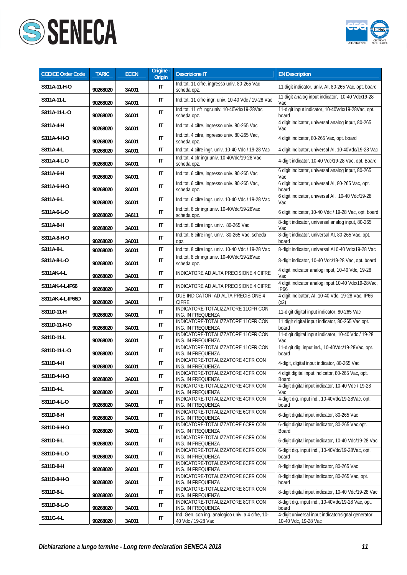



| <b>CODICE Order Code</b> | <b>TARIC</b> | <b>ECCN</b> | Origine -<br>Origin | <b>Descrizione IT</b>                                                   | <b>EN Description</b>                                                       |
|--------------------------|--------------|-------------|---------------------|-------------------------------------------------------------------------|-----------------------------------------------------------------------------|
| S311A-11-H-O             | 90268020     | 3A001       | IT                  | Ind.tot. 11 cifre, ingresso univ. 80-265 Vac<br>scheda opz.             | 11 digit indicator, univ. AI, 80-265 Vac, opt. board                        |
| S311A-11-L               | 90268020     | 3A001       | IT                  | Ind.tot. 11 cifre ingr. univ. 10-40 Vdc / 19-28 Vac                     | 11 digit analog input indicator, 10-40 Vdc/19-28<br>Vac                     |
| S311A-11-L-O             | 90268020     | 3A001       | IT                  | Ind.tot. 11 cfr ingr.univ. 10-40Vdc/19-28Vac<br>scheda opz.             | 11-digit input indicator, 10-40Vdc/19-28Vac, opt.<br>board                  |
| S311A-4-H                | 90268020     | 3A001       | IT                  | Ind.tot. 4 cifre, ingresso univ. 80-265 Vac                             | 4 digit indicator, universal analog input, 80-265<br>Vac                    |
| S311A-4-H-O              | 90268020     | 3A001       | IT                  | Ind.tot. 4 cifre, ingresso univ. 80-265 Vac,<br>scheda opz.             | 4 digit indicator, 80-265 Vac, opt. board                                   |
| S311A-4-L                | 90268020     | 3A001       | IT                  | Ind.tot. 4 cifre ingr. univ. 10-40 Vdc / 19-28 Vac                      | 4 digit indicator, universal AI, 10-40Vdc/19-28 Vac                         |
| S311A-4-L-O              | 90268020     | 3A001       | IT                  | Ind.tot. 4 cfr ingr.univ. 10-40Vdc/19-28 Vac<br>scheda opz.             | 4-digit indicator, 10-40 Vdc/19-28 Vac, opt. Board                          |
| S311A-6-H                | 90268020     | 3A001       | IT                  | Ind.tot. 6 cifre, ingresso univ. 80-265 Vac                             | 6 digit indicator, universal analog input, 80-265<br>Vac                    |
| S311A-6-H-O              | 90268020     | 3A001       | IT                  | Ind.tot. 6 cifre, ingresso univ. 80-265 Vac,<br>scheda opz.             | 6 digit indicator, universal AI, 80-265 Vac, opt.<br>board                  |
| S311A-6-L                | 90268020     | 3A001       | IT                  | Ind.tot. 6 cifre ingr. univ. 10-40 Vdc / 19-28 Vac                      | 6 digit indicator, universal AI, 10-40 Vdc/19-28<br>Vac                     |
| S311A-6-L-O              | 90268020     | 3A611       | IT                  | Ind.tot. 6 cfr ingr.univ. 10-40Vdc/19-28Vac<br>scheda opz.              | 6 digit indicator, 10-40 Vdc / 19-28 Vac, opt. board                        |
| S311A-8-H                | 90268020     | 3A001       | IT                  | Ind.tot. 8 cifre ingr. univ. 80-265 Vac                                 | 8-digit indicator, universal analog input, 80-265<br>Vac                    |
| S311A-8-H-O              | 90268020     | 3A001       | IT                  | Ind.tot. 8 cifre ingr. univ. 80-265 Vac, scheda<br>opz.                 | 8-digit indicator, universal AI, 80-265 Vac, opt.<br>board                  |
| S311A-8-L                | 90268020     | 3A001       | IT                  | Ind.tot. 8 cifre ingr. univ. 10-40 Vdc / 19-28 Vac                      | 8-digit indicator, universal AI 0-40 Vdc/19-28 Vac                          |
| S311A-8-L-O              | 90268020     | 3A001       | IT                  | Ind.tot. 8 cfr ingr.univ. 10-40Vdc/19-28Vac<br>scheda opz.              | 8-digit indicator, 10-40 Vdc/19-28 Vac, opt. board                          |
| S311AK-4-L               | 90268020     | 3A001       | IT                  | INDICATORE AD ALTA PRECISIONE 4 CIFRE                                   | 4 digit indicator analog input, 10-40 Vdc, 19-28<br>Vac                     |
| S311AK-4-L-IP66          | 90268020     | 3A001       | IT                  | INDICATORE AD ALTA PRECISIONE 4 CIFRE                                   | 4 digit indicator analog input 10-40 Vdc/19-28Vac,<br><b>IP66</b>           |
| S311AK-4-L-IP66D         | 90268020     | 3A001       | IT                  | DUE INDICATORI AD ALTA PRECISIONE 4<br><b>CIFRE</b>                     | 4 digit indicator, AI, 10-40 Vdc, 19-28 Vac, IP66<br>(x2)                   |
| S311D-11-H               | 90268020     | 3A001       | IT                  | INDICATORE-TOTALIZZATORE 11CFR CON<br>ING. IN FREQUENZA                 | 11-digit digital input indicator, 80-265 Vac                                |
| S311D-11-H-O             | 90268020     | 3A001       | IT                  | INDICATORE-TOTALIZZATORE 11CFR CON<br>ING. IN FREQUENZA                 | 11 digit digital input indicator, 80-265 Vac opt.<br>board                  |
| S311D-11-L               | 90268020     | 3A001       | IT                  | INDICATORE-TOTALIZZATORE 11CFR CON<br>ING. IN FREQUENZA                 | 11-digit digital input indicator, 10-40 Vdc / 19-28<br>Vac                  |
| S311D-11-L-O             | 90268020     | 3A001       | IT                  | INDICATORE-TOTALIZZATORE 11CFR CON<br>ING. IN FREQUENZA                 | 11-digit dig. input ind., 10-40Vdc/19-28Vac, opt.<br>board                  |
| S311D-4-H                | 90268020     | 3A001       | IT                  | INDICATORE-TOTALIZZATORE 4CFR CON<br>ING. IN FREQUENZA                  | 4-digit, digital input indicator, 80-265 Vac                                |
| S311D-4-H-O              | 90268020     | 3A001       | IT                  | INDICATORE-TOTALIZZATORE 4CFR CON<br>ING. IN FREQUENZA                  | 4 digit digital input indicator, 80-265 Vac, opt.<br>Board                  |
| S311D-4-L                | 90268020     | 3A001       | IT                  | INDICATORE-TOTALIZZATORE 4CFR CON<br>ING. IN FREQUENZA                  | 4-digit digital input indicator, 10-40 Vdc / 19-28<br>Vac                   |
| S311D-4-L-O              | 90268020     | 3A001       | IT                  | INDICATORE-TOTALIZZATORE 4CFR CON<br>ING. IN FREQUENZA                  | 4-digit dig. input ind., 10-40Vdc/19-28Vac, opt.<br>board                   |
| S311D-6-H                | 90268020     | 3A001       | IT                  | INDICATORE-TOTALIZZATORE 6CFR CON<br>ING. IN FREQUENZA                  | 6-digit digital input indicator, 80-265 Vac                                 |
| S311D-6-H-O              | 90268020     | 3A001       | IT                  | INDICATORE-TOTALIZZATORE 6CFR CON<br>ING. IN FREQUENZA                  | 6-digit digital input indicator, 80-265 Vac, opt.<br>Board                  |
| S311D-6-L                | 90268020     | 3A001       | IT                  | INDICATORE-TOTALIZZATORE 6CFR CON<br>ING. IN FREQUENZA                  | 6-digit digital input indicator, 10-40 Vdc/19-28 Vac                        |
| S311D-6-L-O              | 90268020     | 3A001       | IT                  | INDICATORE-TOTALIZZATORE 6CFR CON<br>ING. IN FREQUENZA                  | 6-digit dig. input ind., 10-40Vdc/19-28Vac, opt.<br>board                   |
| S311D-8-H                | 90268020     | 3A001       | IT                  | INDICATORE-TOTALIZZATORE 8CFR CON<br>ING. IN FREQUENZA                  | 8-digit digital input indicator, 80-265 Vac                                 |
| S311D-8-H-O              | 90268020     | 3A001       | IT                  | INDICATORE-TOTALIZZATORE 8CFR CON<br>ING. IN FREQUENZA                  | 8-digit digital input indicator, 80-265 Vac, opt.<br>board                  |
| S311D-8-L                | 90268020     | 3A001       | IT                  | INDICATORE-TOTALIZZATORE 8CFR CON<br>ING. IN FREQUENZA                  | 8-digit digital input indicator, 10-40 Vdc/19-28 Vac                        |
| S311D-8-L-O              | 90268020     | 3A001       | IT                  | INDICATORE-TOTALIZZATORE 8CFR CON<br>ING. IN FREQUENZA                  | 8-digit dig. input ind., 10-40Vdc/19-28 Vac, opt.<br>board                  |
| S311G-4-L                | 90268020     | 3A001       | IT                  | Ind. Gen. con ing. analogico univ. a 4 cifre, 10-<br>40 Vdc / 19-28 Vac | 4-digit universal input indicator/signal generator,<br>10-40 Vdc, 19-28 Vac |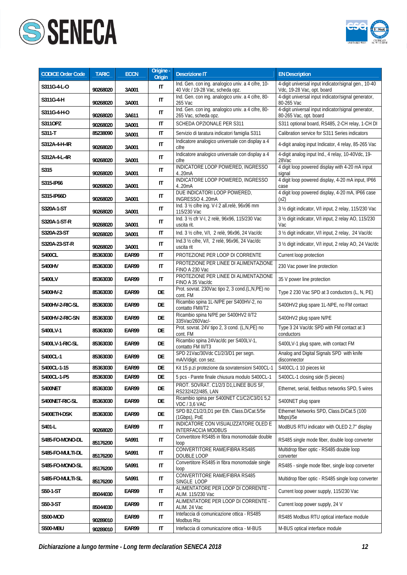



| <b>CODICE Order Code</b> | <b>TARIC</b> | <b>ECCN</b> | Origine -<br>Origin    | <b>Descrizione IT</b>                                                                | <b>EN Description</b>                                                              |
|--------------------------|--------------|-------------|------------------------|--------------------------------------------------------------------------------------|------------------------------------------------------------------------------------|
| S311G-4-L-0              | 90268020     | 3A001       | IT                     | Ind. Gen. con ing. analogico univ. a 4 cifre, 10-<br>40 Vdc / 19-28 Vac, scheda opz. | 4-digit universal input indicator/signal gen., 10-40<br>Vdc, 19-28 Vac, opt. board |
| S311G-4-H                | 90268020     | 3A001       | IT                     | Ind. Gen. con ing. analogico univ. a 4 cifre, 80-<br>265 Vac                         | 4-digit universal input indicator/signal generator,<br>80-265 Vac                  |
| S311G-4-H-O              | 90268020     | 3A611       | $\mathsf{I}\mathsf{T}$ | Ind. Gen. con ing. analogico univ. a 4 cifre, 80-<br>265 Vac, scheda opz.            | 4-digit universal input indicator/signal generator,<br>80-265 Vac, opt. board      |
| S3110PZ                  | 90268020     | 3A001       | IT                     | SCHEDA OPZIONALE PER S311                                                            | S311 optional board, RS485, 2-CH relay, 1-CH DI                                    |
| S311-T                   | 85238090     | 3A001       | IT                     | Servizio di taratura indicatori famiglia S311                                        | Calibration service for S311 Series indicators                                     |
| S312A-4-H-4R             | 90268020     | 3A001       | $\mathsf{I}\mathsf{T}$ | Indicatore analogico universale con display a 4<br>cifre                             | 4-digit analog input Indicator, 4 relay, 85-265 Vac                                |
| S312A-4-L-4R             | 90268020     | 3A001       | $\mathsf{I}\mathsf{T}$ | Indicatore analogico universale con display a 4<br>cifre                             | 4-digit analog input Ind., 4 relay, 10-40Vdc, 19-<br>28Vac                         |
| S315                     | 90268020     | 3A001       | $\mathsf{I}\mathsf{T}$ | INDICATORE LOOP POWERED, INGRESSO<br>4.20mA                                          | 4 digit loop powered display with 4-20 mA input<br>signal                          |
| S315-IP66                | 90268020     | 3A001       | IT                     | INDICATORE LOOP POWERED, INGRESSO<br>4.20mA                                          | 4 digit loop powered display, 4-20 mA input, IP66<br>case                          |
| S315-IP66D               | 90268020     | 3A001       | IT                     | DUE INDICATORI LOOP POWERED,<br>INGRESSO 420mA                                       | 4 digit loop powered display, 4-20 mA, IP66 case<br>(x2)                           |
| S320A-1-ST               | 90268020     | 3A001       | IT                     | Ind. 3 1/2 cifre ing. V-I 2 all.relè, 96x96 mm<br>115/230 Vac                        | 3 1/2 digit indicator, V/I input, 2 relay, 115/230 Vac                             |
| S320A-1-ST-R             | 90268020     | 3A001       | IT                     | Ind. 3 1/2 cfr V-I, 2 relè, 96x96, 115/230 Vac<br>uscita rit.                        | 3 1/2 digit indicator, V/I input, 2 relay AO, 115/230<br>Vac                       |
| S320A-23-ST              | 90268020     | 3A001       | IT                     | Ind. 3 1/2 cifre, V/I, 2 relè, 96x96, 24 Vac/dc                                      | 3 1/2 digit indicator, V/I input, 2 relay, 24 Vac/dc                               |
| S320A-23-ST-R            | 90268020     | 3A001       | $\mathsf{I}\mathsf{T}$ | Ind.3 1/2 cifre, V/I, 2 relè, 96x96, 24 Vac/dc<br>uscita rit                         | 3 1/2 digit indicator, V/I input, 2 relay AO, 24 Vac/dc                            |
| <b>S400CL</b>            | 85363030     | EAR99       | IT                     | PROTEZIONE PER LOOP DI CORRENTE                                                      | Current loop protection                                                            |
| S400HV                   | 85363030     | EAR99       | IT                     | PROTEZIONE PER LINEE DI ALIMENTAZIONE<br>FINO A 230 Vac                              | 230 Vac power line protection                                                      |
| <b>S400LV</b>            | 85363030     | EAR99       | IT                     | PROTEZIONE PER LINEE DI ALIMENTAZIONE<br>FINO A 35 Vac/dc                            | 35 V power line protection                                                         |
| S400HV-2                 | 85363030     | EAR99       | DE                     | Prot. sovrat. 230Vac tipo 2, 3 cond.(L,N,PE) no<br>cont. FM                          | Type 2 230 Vac SPD at 3 conductors (L, N, PE)                                      |
| S400HV-2-RIC-SL          | 85363030     | EAR99       | DE                     | Ricambio spina 1L-N/PE per S400HV-2, no<br>contatto FMII/T2                          | S400HV2 plug spare 1L-NPE, no FM contact                                           |
| S400HV-2-RIC-SN          | 85363030     | EAR99       | DE                     | Ricambio spina N/PE per S400HV2 II/T2<br>335Vac/260Vac/-                             | S400HV2 plug spare N/PE                                                            |
| S400LV-1                 | 85363030     | EAR99       | DE                     | Prot. sovrat. 24V tipo 2, 3 cond. (L,N,PE) no<br>cont. FM                            | Type 3 24 Vac/dc SPD with FM contact at 3<br>conductors                            |
| S400LV-1-RIC-SL          | 85363030     | EAR99       | DE                     | Ricambio spina 24Vac/dc per S400LV-1,<br>contatto FM III/T3                          | S400LV-1 plug spare, with contact FM                                               |
| S400CL-1                 | 85363030     | EAR99       | DE                     | SPD 21Vac/30Vdc C1/2/3/D1 per segn.<br>mA/V/digit. con sez.                          | Analog and Digital Signals SPD with knife<br>disconnector                          |
| S400CL-1-15              | 85363030     | EAR99       | DE                     | Kit 15 p.zi protezione da sovratensioni S400CL-1                                     | S400CL-1 10 pieces kit                                                             |
| S400CL-1-P5              | 85363030     | EAR99       | DE                     | 5 pcs - Parete finale chiusura modulo S400CL-1                                       | S400CL-1 closing side (5 pieces)                                                   |
| S400NET                  | 85363030     | EAR99       | DE                     | PROT. SOVRAT. C1/2/3 D1, LINEE BUS 5F,<br>RS232/422/485, LAN                         | Ethernet, serial, fieldbus networks SPD, 5 wires                                   |
| S400NET-RIC-SL           | 85363030     | EAR99       | DE                     | Ricambio spina per S400NET C1/C2/C3/D1 5,2<br><b>VDC / 3,6 VAC</b>                   | S400NET plug spare                                                                 |
| S400ETH-DSK              | 85363030     | EAR99       | DE                     | SPD B2, C1/2/3, D1 per Eth. Class. D/Cat. 5/5e<br>(1Gbps), PoE                       | Ethernet Networks SPD, Class.D/Cat.5 (100<br>Mbps)/5e                              |
| S401-L                   | 90268020     | EAR99       | IT                     | INDICATORE CON VISUALIZZATORE OLED E<br>INTERFACCIA MODBUS                           | ModBUS RTU indicator with OLED 2,7" display                                        |
| S485-FO-MONO-DL          | 85176200     | 5A991       | IT                     | Convertitore RS485 in fibra monomodale double<br>loop                                | RS485 single mode fiber, double loop converter                                     |
| S485-FO-MULTI-DL         | 85176200     | 5A991       | IT                     | CONVERTITORE RAME/FIBRA RS485<br>DOUBLE LOOP                                         | Multidrop fiber optic - RS485 double loop<br>converter                             |
| S485-FO-MONO-SL          | 85176200     | 5A991       | IT                     | Convertitore RS485 in fibra monomodale single<br>loop                                | RS485 - single mode fiber, single loop converter                                   |
| S485-FO-MULTI-SL         | 85176200     | 5A991       | IT                     | CONVERTITORE RAME/FIBRA RS485<br>SINGLE LOOP                                         | Multidrop fiber optic - RS485 single loop converter                                |
| S50-1-ST                 | 85044030     | EAR99       | IT                     | ALIMENTATORE PER LOOP DI CORRENTE -<br>ALIM. 115/230 Vac                             | Current loop power supply, 115/230 Vac                                             |
| S50-3-ST                 | 85044030     | EAR99       | IT                     | ALIMENTATORE PER LOOP DI CORRENTE -<br>ALIM. 24 Vac                                  | Current loop power supply, 24 V                                                    |
| <b>S500-MOD</b>          | 90289010     | EAR99       | IT                     | Intefaccia di comunicazione ottica - RS485<br>Modbus Rtu                             | RS485 Modbus RTU optical interface module                                          |
| <b>S500-MBU</b>          | 90289010     | EAR99       | IT                     | Intefaccia di comunicazione ottica - M-BUS                                           | M-BUS optical interface module                                                     |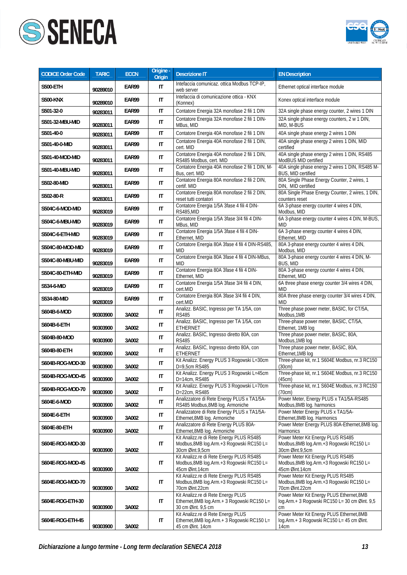



| <b>CODICE Order Code</b> | <b>TARIC</b> | <b>ECCN</b> | Origine -<br>Origin    | <b>Descrizione IT</b>                                                                                     | <b>EN Description</b>                                                                             |
|--------------------------|--------------|-------------|------------------------|-----------------------------------------------------------------------------------------------------------|---------------------------------------------------------------------------------------------------|
| <b>S500-ETH</b>          | 90289010     | EAR99       | IT                     | Intefaccia comunicaz. ottica Modbus TCP-IP,<br>web server                                                 | Ethernet optical interface module                                                                 |
| <b>S500-KNX</b>          | 90289010     | EAR99       | IT                     | Intefaccia di comunicazione ottica - KNX<br>(Konnex)                                                      | Konex optical interface module                                                                    |
| S501-32-0                | 90283011     | EAR99       | IT                     | Contatore Energia 32A monofase 2 fili 1 DIN                                                               | 32A single phase energy counter, 2 wires 1 DIN                                                    |
| S501-32-MBU-MID          | 90283011     | EAR99       | $\mathsf{I}\mathsf{T}$ | Contatore Energia 32A monofase 2 fili 1 DIN-<br>MBus, MID                                                 | 32A single phase energy counters, 2 w 1 DIN,<br>MID, M-BUS                                        |
| S501-40-0                | 90283011     | EAR99       | IT                     | Contatore Energia 40A monofase 2 fili 1 DIN                                                               | 40A single phase energy 2 wires 1 DIN                                                             |
| S501-40-0-MID            | 90283011     | EAR99       | IT                     | Contatore Energia 40A monofase 2 fili 1 DIN,<br>cert. MID                                                 | 40A single phase energy 2 wires 1 DIN, MID<br>certified                                           |
| S501-40-MOD-MID          | 90283011     | EAR99       | IT                     | Contatore Energia 40A monofase 2 fili 1 DIN,<br>RS485 Modbus, cert. MID                                   | 40A single phase energy 2 wires 1 DIN, RS485<br>ModBUS MID certified                              |
| S501-40-MBU-MID          | 90283011     | EAR99       | IT                     | Contatore Energia 40A monofase 2 fili 1 DIN, M-<br>Bus, cert. MID                                         | 40A single phase energy 2 wires 1 DIN, RS485 M-<br>BUS, MID certified                             |
| S502-80-MID              | 90283011     | EAR99       | $\mathsf{I}\mathsf{T}$ | Contatore Energia 80A monofase 2 fili 2 DIN,<br>certif. MID                                               | 80A Single Phase Energy Counter, 2 wires, 1<br>DIN, MID certified                                 |
| S502-80-R                | 90283011     | EAR99       | IT                     | Contatore Energia 80A monofase 2 fili 2 DIN,<br>reset tutti contatori                                     | 80A Single Phase Energy Counter, 2 wires, 1 DIN,<br>counters reset                                |
| S504C-6-MOD-MID          | 90283019     | EAR99       | $\mathsf{I}\mathsf{T}$ | Contatore Energia 1/5A 3fase 4 fili 4 DIN-<br>RS485,MID                                                   | 6A 3-phase energy counter 4 wires 4 DIN,<br>Modbus, MID                                           |
| S504C-6-MBU-MID          | 90283019     | EAR99       | IT                     | Contatore Energia 1/5A 3fase 3/4 fili 4 DIN-<br>MBus, MID                                                 | 6A 3-phase energy counter 4 wires 4 DIN, M-BUS,<br><b>MID</b>                                     |
| S504C-6-ETH-MID          | 90283019     | EAR99       | IT                     | Contatore Energia 1/5A 3fase 4 fili 4 DIN-<br>Ethernet, MID                                               | 6A 3-phase energy counter 4 wires 4 DIN,<br>Ethernet, MID                                         |
| S504C-80-MOD-MID         | 90283019     | EAR99       | IT                     | Contatore Energia 80A 3fase 4 fili 4 DIN-RS485,<br>MID                                                    | 80A 3-phase energy counter 4 wires 4 DIN,<br>Modbus, MID                                          |
| S504C-80-MBU-MID         | 90283019     | EAR99       | $\mathsf{I}\mathsf{T}$ | Contatore Energia 80A 3fase 4 fili 4 DIN-MBus,<br><b>MID</b>                                              | 80A 3-phase energy counter 4 wires 4 DIN, M-<br>BUS, MID                                          |
| S504C-80-ETH-MID         | 90283019     | EAR99       | IT                     | Contatore Energia 80A 3fase 4 fili 4 DIN-<br>Ethernet, MID                                                | 80A 3-phase energy counter 4 wires 4 DIN,<br>Ethernet, MID                                        |
| S534-6-MID               | 90283019     | EAR99       | $\mathsf{I}\mathsf{T}$ | Contatore Energia 1/5A 3fase 3/4 fili 4 DIN,<br>cert.MID                                                  | 6A three phase energy counter 3/4 wires 4 DIN,<br>MID                                             |
| S534-80-MID              | 90283019     | EAR99       | $\mathsf{I}\mathsf{T}$ | Contatore Energia 80A 3fase 3/4 fili 4 DIN,<br>cert.MID                                                   | 80A three phase energy counter 3/4 wires 4 DIN,<br>MID                                            |
| S604B-6-MOD              | 90303900     | 3A002       | IT                     | Analizz. BASIC, Ingresso per TA 1/5A, con<br><b>RS485</b>                                                 | Three phase power meter, BASIC, for CT/5A,<br>Modbus, 1MB                                         |
| S604B-6-ETH              | 90303900     | 3A002       | IT                     | Analizz. BASIC, Ingresso per TA 1/5A, con<br>ETHERNET                                                     | Three-phase power meter, BASIC, CT/5A,<br>Ethernet, 1MB log                                       |
| S604B-80-MOD             | 90303900     | 3A002       | IT                     | Analizz. BASIC, Ingresso diretto 80A, con<br><b>RS485</b>                                                 | Three phase power meter, BASIC, 80A,<br>Modbus, 1MB log                                           |
| S604B-80-ETH             | 90303900     | 3A002       | $\mathsf{I}\mathsf{T}$ | Analizz. BASIC, Ingresso diretto 80A, con<br><b>ETHERNET</b>                                              | Three phase power meter, BASIC, 80A,<br>Ethernet, 1MB log                                         |
| S604B-ROG-MOD-30         | 90303900     | 3A002       | IT                     | Kit Analizz. Energy PLUS 3 Rogowski L=30cm<br>D=9,5cm RS485                                               | Three-phase kit, nr.1 S604E Modbus, nr.3 RC150<br>(30cm)                                          |
| S604B-ROG-MOD-45         | 90303900     | 3A002       | IT                     | Kit Analizz. Energy PLUS 3 Rogowski L=45cm<br>D=14cm, RS485                                               | Three-phase kit, nr.1 S604E Modbus, nr.3 RC150<br>(45cm)                                          |
| S604B-ROG-MOD-70         | 90303900     | 3A002       | IT                     | Kit Analizz. Energy PLUS 3 Rogowski L=70cm<br>D=22cm, RS485                                               | Three-phase kit, nr.1 S604E Modbus, nr.3 RC150<br>(70cm)                                          |
| S604E-6-MOD              | 90303900     | 3A002       | IT                     | Analizzatore di Rete Energy PLUS x TA1/5A-<br>RS485 Modbus, 8MB log. Armoniche                            | Power Meter, Energy PLUS x TA1/5A-RS485<br>Modbus, 8MB log. harmonics                             |
| S604E-6-ETH              | 90303900     | 3A002       | IT                     | Analizzatore di Rete Energy PLUS x TA1/5A-<br>Ethernet, 8MB log. Armoniche                                | Power Meter Energy PLUS x TA1/5A-<br>Ethernet, 8MB log. Harmonics                                 |
| S604E-80-ETH             | 90303900     | 3A002       | IT                     | Analizzatore di Rete Energy PLUS 80A-<br>Ethernet, 8MB log. Armoniche                                     | Power Meter Energy PLUS 80A-Ethernet, 8MB log.<br>Harmonics                                       |
| S604E-ROG-MOD-30         | 90303900     | 3A002       | IT                     | Kit Analizz.re di Rete Energy PLUS RS485<br>Modbus, 8MB log.Arm.+3 Rogowski RC150 L=<br>30cm Øint.9,5cm   | Power Meter Kit Energy PLUS RS485<br>Modbus, 8MB log.Arm.+3 Rogowski RC150 L=<br>30cm Øint.9,5cm  |
| S604E-ROG-MOD-45         | 90303900     | 3A002       | IT                     | Kit Analizz.re di Rete Energy PLUS RS485<br>Modbus, 8MB log. Arm. +3 Rogowski RC150 L=<br>45cm Øint.14cm  | Power Meter Kit Energy PLUS RS485<br>Modbus, 8MB log. Arm. +3 Rogowski RC150 L=<br>45cm Øint.14cm |
| S604E-ROG-MOD-70         | 90303900     | 3A002       | IT                     | Kit Analizz.re di Rete Energy PLUS RS485<br>Modbus, 8MB log. Arm. +3 Rogowski RC150 L=<br>70cm Øint.22cm  | Power Meter Kit Energy PLUS RS485<br>Modbus, 8MB log.Arm.+3 Rogowski RC150 L=<br>70cm Øint.22cm   |
| S604E-ROG-ETH-30         | 90303900     | 3A002       | IT                     | Kit Analizz.re di Rete Energy PLUS<br>Ethernet, 8MB log. Arm. + 3 Rogowski RC150 L=<br>30 cm Øint. 9,5 cm | Power Meter Kit Energy PLUS Ethernet, 8MB<br>log.Arm.+ 3 Rogowski RC150 L= 30 cm Øint. 9,5<br>cm  |
| S604E-ROG-ETH-45         | 90303900     | 3A002       | IT                     | Kit Analizz.re di Rete Energy PLUS<br>Ethernet, 8MB log. Arm. + 3 Rogowski RC150 L=<br>45 cm Øint. 14cm   | Power Meter Kit Energy PLUS Ethernet, 8MB<br>log.Arm.+ 3 Rogowski RC150 L= 45 cm Øint.<br>14cm    |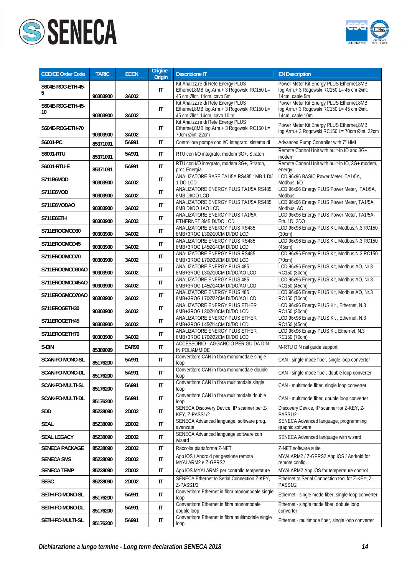



| <b>CODICE Order Code</b> | <b>TARIC</b> | <b>ECCN</b> | Origine -<br><b>Origin</b> | <b>Descrizione IT</b>                                                                                              | <b>EN Description</b>                                                                                     |
|--------------------------|--------------|-------------|----------------------------|--------------------------------------------------------------------------------------------------------------------|-----------------------------------------------------------------------------------------------------------|
| S604E-ROG-ETH-45-<br>5   | 90303900     | 3A002       | IT                         | Kit Analizz.re di Rete Energy PLUS<br>Ethernet, 8MB log. Arm. + 3 Rogowski RC150 L=<br>45 cm Øint. 14cm, cavo 5m   | Power Meter Kit Energy PLUS Ethernet, 8MB<br>log.Arm.+ 3 Rogowski RC150 L= 45 cm Øint.<br>14cm, cable 5m  |
| S604E-ROG-ETH-45-<br>10  | 90303900     | 3A002       | $\mathsf{I}\mathsf{T}$     | Kit Analizz.re di Rete Energy PLUS<br>Ethernet, 8MB log. Arm. + 3 Rogowski RC150 L=<br>45 cm Øint. 14cm, cavo 10 m | Power Meter Kit Energy PLUS Ethernet, 8MB<br>log.Arm.+ 3 Rogowski RC150 L= 45 cm Øint.<br>14cm, cable 10m |
| S604E-ROG-ETH-70         | 90303900     | 3A002       | IT                         | Kit Analizz.re di Rete Energy PLUS<br>Ethernet, 8MB log. Arm. + 3 Rogowski RC150 L=<br>70cm Øint. 22cm             | Power Meter Kit Energy PLUS Ethernet, 8MB<br>log.Arm.+ 3 Rogowski RC150 L= 70cm Øint. 22cm                |
| S6001-PC                 | 85371091     | 5A991       | IT                         | Controllore pompe con I/O integrato, sistema di                                                                    | Advanced Pump Controller with 7" HMI                                                                      |
| S6001-RTU                | 85371091     | 5A991       | IT                         | RTU con I/O integrato, modem 3G+, Straton                                                                          | Remote Control Unit with built-in IO and 3G+<br>modem                                                     |
| S6001-RTU-E              | 85371091     | 5A991       | $\mathsf{I}\mathsf{T}$     | RTU con I/O integrato, modem 3G+, Straton,<br>prot. Energia                                                        | Remote Control Unit with built-in IO, 3G+ modem,<br>energy                                                |
| S711B6MOD                | 90303900     | 3A002       | IT                         | ANALIZATORE BASE TA1/5A RS485 1MB 1 DI/<br>1 DO LCD                                                                | LCD 96x96 BASIC Power Meter, TA1/5A,<br>Modbus, I/O                                                       |
| S711E6MOD                | 90303900     | 3A002       | IT                         | ANALIZATORE ENERGY PLUS TA1/5A RS485<br>8MB DI/DO LCD                                                              | LCD 96x96 Energy PLUS Power Meter, TA1/5A,<br>Modbus                                                      |
| S711E6MODAO              | 90303900     | 3A002       | IT                         | ANALIZATORE ENERGY PLUS TA1/5A RS485<br>8MB DI/DO 1AO LCD                                                          | LCD 96x96 Energy PLUS Power Meter, TA1/5A,<br>Modbus, AO                                                  |
| S711E6ETH                | 90303900     | 3A002       | IT                         | ANALIZATORE ENERGY PLUS TA1/5A<br>ETHERNET 8MB DI/DO LCD                                                           | LCD 96x96 Energy PLUS Power Meter, TA1/5A-<br>Eth., 1DI 2DO                                               |
| S711EROGMOD30            | 90303900     | 3A002       | $\mathsf{I}\mathsf{T}$     | ANALIZATORE ENERGY PLUS RS485<br>8MB+3ROG L30Ø10CM DI/DO LCD                                                       | LCD 96x96 Energy PLUS Kit, Modbus, N.3 RC150<br>(30cm)                                                    |
| S711EROGMOD45            | 90303900     | 3A002       | IT                         | ANALIZATORE ENERGY PLUS RS485<br>8MB+3ROG L45Ø14CM DI/DO LCD                                                       | LCD 96x96 Energy PLUS Kit, Modbus, N.3 RC150<br>(45cm)                                                    |
| S711EROGMOD70            | 90303900     | 3A002       | IT                         | ANALIZATORE ENERGY PLUS RS485<br>8MB+3ROG L70Ø22CM DI/DO LCD                                                       | LCD 96x96 Energy PLUS Kit, Modbus, N.3 RC150<br>(70cm)                                                    |
| S711EROGMOD30AO          | 90303900     | 3A002       | IT                         | <b>ANALIZATORE ENERGY PLUS 485</b><br>8MB+3ROG L30Ø10CM DI/DO/AO LCD                                               | LCD 96x96 Energy PLUS Kit, Modbus AO, Nr.3<br>RC150 (30cm)                                                |
| S711EROGMOD45AO          | 90303900     | 3A002       | IT                         | ANALIZATORE ENERGY PLUS 485<br>8MB+3ROG L45Ø14CM DI/DO/AO LCD                                                      | LCD 96x96 Energy PLUS Kit, Modbus AO, Nr.3<br>RC150 (45cm)                                                |
| S711EROGMOD70AO          | 90303900     | 3A002       | IT                         | ANALIZATORE ENERGY PLUS 485<br>8MB+3ROG L70Ø22CM DI/DO/AO LCD                                                      | LCD 96x96 Energy PLUS Kit, Modbus AO, Nr.3<br>RC150 (70cm)                                                |
| S711EROGETH30            | 90303900     | 3A002       | IT                         | ANALIZATORE ENERGY PLUS ETHER<br>8MB+3ROG L30Ø10CM DI/DO LCD                                                       | LCD 96x96 Energy PLUS Kit, Ethernet, N.3<br>RC150 (30cm)                                                  |
| S711EROGETH45            | 90303900     | 3A002       | IT                         | ANALIZATORE ENERGY PLUS ETHER<br>8MB+3ROG L45Ø14CM DI/DO LCD                                                       | LCD 96x96 Energy PLUS Kit, Ethernet, N.3<br>RC150 (45cm)                                                  |
| S711EROGETH70            | 90303900     | 3A002       | IT                         | ANALIZATORE ENERGY PLUS ETHER<br>8MB+3ROG L70Ø22CM DI/DO LCD                                                       | LCD 96x96 Energy PLUS Kit, Ethernet, N.3<br>RC150 (70cm)                                                  |
| S-DIN                    | 85389099     | EAR99       | IT                         | ACCESSORIO - AGGANCIO PER GUIDA DIN<br>IN POLIAMMIDE                                                               | M-RTU DIN rail quide support                                                                              |
| <b>SCAN-FO-MONO-SL</b>   | 85176200     | 5A991       | $\mathsf{I}\mathsf{T}$     | Convertitore CAN in fibra monomodale single<br>loop                                                                | CAN - single mode fiber, single loop converter                                                            |
| SCAN-FO-MONO-DL          | 85176200     | 5A991       | IT                         | Convertitore CAN in fibra monomodale double<br>loop                                                                | CAN - single mode fiber, double loop converter                                                            |
| SCAN-FO-MULTI-SL         | 85176200     | 5A991       | IT                         | Convertitore CAN in fibra multimodale single<br>loop                                                               | CAN - multimode fiber, single loop converter                                                              |
| <b>SCAN-FO-MULTI-DL</b>  | 85176200     | 5A991       | IT                         | Convertitore CAN in fibra multimodale double<br>loop                                                               | CAN - multimode fiber, double loop converter                                                              |
| SDD                      | 85238090     | 2D002       | IT                         | SENECA Discovery Device, IP scanner per Z-<br>KEY, Z-PASS1/2                                                       | Discovery Device, IP scanner for Z-KEY, Z-<br>PASS1/2                                                     |
| <b>SEAL</b>              | 85238090     | 2D002       | IT                         | SENECA Advanced language, software prog.<br>avanzata                                                               | SENECA Advanced language, programming<br>graphic software                                                 |
| SEAL LEGACY              | 85238090     | 2D002       | IT                         | SENECA Advanced language software con<br>wizard                                                                    | SENECA Advanced language with wizard                                                                      |
| <b>SENECA PACKAGE</b>    | 85238090     | 2D002       | IT                         | Raccolta piattaforma Z-NET                                                                                         | Z-NET software suite                                                                                      |
| <b>SENECA SMS</b>        | 85238090     | 2D002       | $\mathsf{I}\mathsf{T}$     | App iOS / Android per gestione remota<br>MYALARM2 e Z-GPRS2                                                        | MYALARM2 / Z-GPRS2 App iOS / Android for<br>remote config.                                                |
| <b>SENECA TEMP</b>       | 85238090     | 2D002       | IT                         | App iOS MYALARM2 per controllo temperature                                                                         | MYALARM2 App iOS for temperature control                                                                  |
| <b>SESC</b>              | 85238090     | 2D002       | IT                         | SENECA Ethernet to Serial Connection Z-KEY,<br>Z-PASS1/2                                                           | Ethernet to Serial Connection tool for Z-KEY, Z-<br>PASS1/2                                               |
| SETH-FO-MONO-SL          | 85176200     | 5A991       | IT                         | Convertitore Ethernet in fibra monomodale single<br>loop                                                           | Ethernet - single mode fiber, single loop converter                                                       |
| SETH-FO-MONO-DL          | 85176200     | 5A991       | IT                         | Convertitore Ethernet in fibra monomodale<br>double loop                                                           | Ethernet - single mode fiber, dobule loop<br>converter                                                    |
| SETH-FO-MULTI-SL         | 85176200     | 5A991       | IT                         | Convertitore Ethernet in fibra multimodale single<br>loop                                                          | Ethernet - multimode fiber, single loop converter                                                         |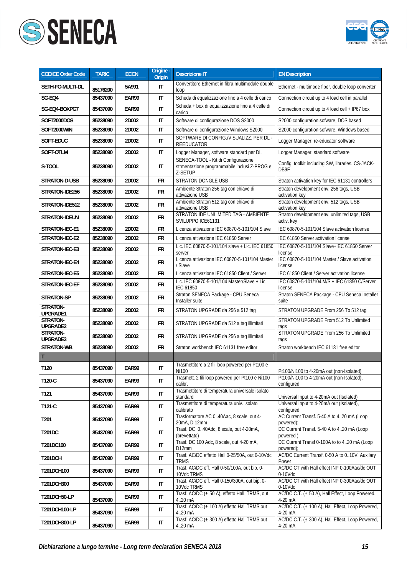



| <b>CODICE Order Code</b> | <b>TARIC</b> | <b>ECCN</b> | Origine -<br>Origin    | <b>Descrizione IT</b>                                                                          | <b>EN Description</b>                                                |
|--------------------------|--------------|-------------|------------------------|------------------------------------------------------------------------------------------------|----------------------------------------------------------------------|
| SETH-FO-MULTI-DL         | 85176200     | 5A991       | IT                     | Convertitore Ethernet in fibra multimodale double<br>loop                                      | Ethernet - multimode fiber, double loop converter                    |
| SG-EQ4                   | 85437090     | EAR99       | IT                     | Scheda di equalizzazione fino a 4 celle di carico                                              | Connection circuit up to 4 load cell in parallel                     |
| SG-E04-BOXPG7            | 85437090     | EAR99       | IT                     | Scheda + box di equalizzazione fino a 4 celle di<br>carico                                     | Connection circuit up to 4 load cell + IP67 box                      |
| SOFT2000DOS              | 85238090     | 2D002       | IT                     | Software di configurazione DOS S2000                                                           | S2000 configuration sofware, DOS based                               |
| SOFT2000WIN              | 85238090     | 2D002       | IT                     | Software di configurazione Windows S2000                                                       | S2000 configuration sofware, Windows based                           |
| SOFT-EDUC                | 85238090     | 2D002       | IT                     | SOFTWARE DI CONFIG./VISUALIZZ. PER DL -<br>REEDUCATOR                                          | Logger Manager, re-educator software                                 |
| SOFT-OTLM                | 85238090     | 2D002       | IT                     | Logger Manager, software standard per DL                                                       | Logger Manager, standard software                                    |
| S-TOOL                   | 85238090     | 2D002       | IT                     | SENECA-TOOL - Kit di Configurazione<br>strmentazione programmabile inclusi Z-PROG e<br>Z-SETUP | Config. toolkit including SW, libraries, CS-JACK-<br>DB9F            |
| STRATON-D-USB            | 85238090     | 2D002       | <b>FR</b>              | <b>STRATON DONGLE USB</b>                                                                      | Straton activation key for IEC 61131 controllers                     |
| STRATON-IDE256           | 85238090     | 2D002       | FR                     | Ambiente Straton 256 tag con chiave di<br>attivazione USB                                      | Straton development env. 256 tags, USB<br>activation key             |
| STRATON-IDE512           | 85238090     | 2D002       | <b>FR</b>              | Ambiente Straton 512 tag con chiave di<br>attivazione USB                                      | Straton development env. 512 tags, USB<br>activation key             |
| STRATON-IDEUN            | 85238090     | 2D002       | FR                     | STRATON IDE UNLIMITED TAG - AMBIENTE<br>SVILUPPO ICE61131                                      | Straton development env. unlimited tags, USB<br>activ. key           |
| STRATON-IEC-E1           | 85238090     | 2D002       | <b>FR</b>              | Licenza attivazione IEC 60870-5-101/104 Slave                                                  | IEC 60870-5-101/104 Slave activation license                         |
| STRATON-IEC-E2           | 85238090     | 2D002       | FR                     | Licenza attivazione IEC 61850 Server                                                           | IEC 61850 Server activation license                                  |
| STRATON-IEC-E3           | 85238090     | 2D002       | FR                     | Lic. IEC 60870-5-101/104 slave + Lic. IEC 61850<br>server                                      | IEC 60870-5-101/104 Slave+IEC 61850 Server<br>license                |
| STRATON-IEC-E4           | 85238090     | 2D002       | FR                     | Licenza attivazione IEC 60870-5-101/104 Master<br>/ Slave                                      | IEC 60870-5-101/104 Master / Slave activation<br>license             |
| STRATON-IEC-E5           | 85238090     | 2D002       | <b>FR</b>              | Licenza attivazione IEC 61850 Client / Server                                                  | IEC 61850 Client / Server activation license                         |
| STRATON-IEC-EF           | 85238090     | 2D002       | <b>FR</b>              | Lic. IEC 60870-5-101/104 Master/Slave + Lic.<br><b>IEC 61850</b>                               | IEC 60870-5-101/104 M/S + IEC 61850 C/Server<br>license              |
| STRATON-SP               | 85238090     | 2D002       | <b>FR</b>              | Straton SENECA Package - CPU Seneca<br>Installer suite                                         | Straton SENECA Package - CPU Seneca Installer<br>suite               |
| STRATON-<br>UPGRADE1     | 85238090     | 2D002       | FR                     | STRATON UPGRADE da 256 a 512 tag                                                               | STRATON UPGRADE From 256 To 512 tag                                  |
| STRATON-<br>UPGRADE2     | 85238090     | 2D002       | FR                     | STRATON UPGRADE da 512 a tag illimitati                                                        | STRATON UPGRADE From 512 To Unlimited<br>tags                        |
| STRATON-<br>UPGRADE3     | 85238090     | 2D002       | FR                     | STRATON UPGRADE da 256 a tag illimitati                                                        | STRATON UPGRADE From 256 To Unlimited<br>tags                        |
| STRATON-WB               | 85238090     | 2D002       | <b>FR</b>              | Straton workbench IEC 61131 free editor                                                        | Straton workbench IEC 61131 free editor                              |
| T                        |              |             |                        |                                                                                                |                                                                      |
| T120                     | 85437090     | EAR99       | IT                     | Trasmettitore a 2 fili loop powered per Pt100 e<br>Ni100                                       | Pt100/Ni100 to 4-20mA out (non-Isolated)                             |
| T120-C                   | 85437090     | EAR99       | IT                     | Trasmett. 2 fili loop powered per Pt100 e Ni100<br>calibr.                                     | Pt100/Ni100 to 4-20mA out (non-Isolated),                            |
| T121                     | 85437090     | EAR99       | $\mathsf{I}\mathsf{T}$ | Trasmettitore di temperatura universale isolato                                                | configured<br>Universal Input to 4-20mA out (Isolated)               |
| T121-C                   | 85437090     | EAR99       | IT                     | standard<br>Trasmettitore di temperatura univ. isolato                                         | Universal Input to 4-20mA out (Isolated),                            |
| T201                     | 85437090     | EAR99       | IT                     | calibrato<br>Trasformatore AC 040Aac, 8 scale, out 4-<br>20mA, D 12mm                          | configured<br>AC Current Transf. 5-40 A to 420 mA (Loop<br>powered); |
| <b>T201DC</b>            | 85437090     | EAR99       | IT                     | Trasf. DC 040Adc, 8 scale, out 4-20mA,<br>(brevettato)                                         | DC Current Transf. 5-40 A to 420 mA (Loop<br>powered);               |
| T201DC100                | 85437090     | EAR99       | IT                     | Trasf. DC 100 Adc, 8 scale, out 4-20 mA,<br>D12mm                                              | DC Current Transf 0-100A to to 420 mA (Loop<br>powered);             |
| <b>T201DCH</b>           | 85437090     | EAR99       | IT                     | Trasf. AC/DC effetto Hall 0-25/50A, out 0-10Vdc<br><b>TRMS</b>                                 | AC/DC Current Transf. 0-50 A to 010V, Auxilary<br>Power              |
| T201DCH100               | 85437090     | EAR99       | IT                     | Trasf. AC/DC eff. Hall 0-50/100A, out bip. 0-<br>10Vdc TRMS                                    | AC/DC CT with Hall effect INP 0-100Aac/dc OUT<br>$0-10Vdc$           |
| T201DCH300               | 85437090     | EAR99       | $\mathsf{I}\mathsf{T}$ | Trasf. AC/DC eff. Hall 0-150/300A, out bip. 0-<br>10Vdc TRMS                                   | AC/DC CT with Hall effect INP 0-300Aac/dc OUT<br>$0-10$ Vdc          |
| T201DCH50-LP             | 85437090     | EAR99       | IT                     | Trasf. AC/DC (± 50 A), effetto Hall, TRMS, out<br>420 mA                                       | AC/DC C.T. (± 50 A), Hall Effect, Loop Powered,<br>4-20 mA           |
| T201DCH100-LP            | 85437090     | EAR99       | $\mathsf{I}\mathsf{T}$ | Trasf. AC/DC (± 100 A) effetto Hall TRMS out<br>4.20 mA                                        | AC/DC C.T. (± 100 A), Hall Effect, Loop Powered,<br>4-20 mA          |
| T201DCH300-LP            | 85437090     | EAR99       | IT                     | Trasf. AC/DC (± 300 A) effetto Hall TRMS out<br>4.20 mA                                        | AC/DC C.T. (± 300 A), Hall Effect, Loop Powered,<br>4-20 mA          |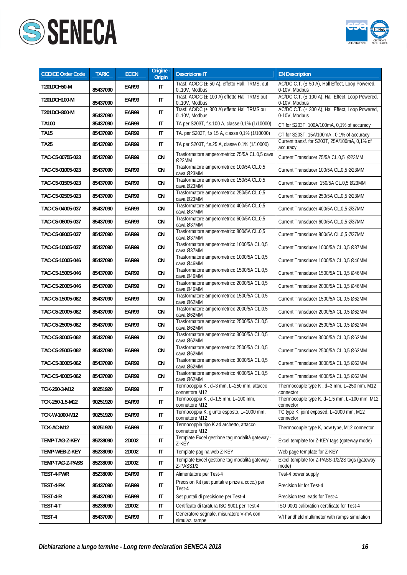



| <b>CODICE Order Code</b> | <b>TARIC</b> | <b>ECCN</b> | Origine -<br>Origin    | <b>Descrizione IT</b>                                          | <b>EN Description</b>                                             |
|--------------------------|--------------|-------------|------------------------|----------------------------------------------------------------|-------------------------------------------------------------------|
| T201DCH50-M              | 85437090     | EAR99       | IT                     | Trasf. AC/DC (± 50 A), effetto Hall, TRMS, out<br>010V, Modbus | AC/DC C.T. (± 50 A), Hall Effect, Loop Powered,<br>0-10V, Modbus  |
| T201DCH100-M             | 85437090     | EAR99       | $\mathsf{I}$           | Trasf. AC/DC (± 100 A) effetto Hall TRMS out<br>010V, Modbus   | AC/DC C.T. (± 100 A), Hall Effect, Loop Powered,<br>0-10V, Modbus |
| T201DCH300-M             | 85437090     | EAR99       | $\mathsf{I}\mathsf{T}$ | Trasf. AC/DC (± 300 A) effetto Hall TRMS ou<br>010V, Modbus    | AC/DC C.T. (± 300 A), Hall Effect, Loop Powered,<br>0-10V, Modbus |
| <b>TA100</b>             | 85437090     | EAR99       | $\mathsf{I}\mathsf{T}$ | TA per S203T, f.s.100 A, classe 0,1% (1/10000)                 | CT for S203T, 100A/100mA, 0,1% of accuracy                        |
| <b>TA15</b>              | 85437090     | EAR99       | IT                     | TA. per S203T, f.s.15 A, classe 0,1% (1/10000)                 | CT for S203T, 15A/100mA, 0,1% of accuracy                         |
| <b>TA25</b>              | 85437090     | EAR99       | IT                     | TA per S203T, f.s.25 A, classe 0,1% (1/10000)                  | Current transf. for S203T, 25A/100mA, 0,1% of<br>accuracy         |
| TAC-C5-00755-023         | 85437090     | EAR99       | CN                     | Trasformatore amperometrico 75/5A CL.0,5 cava<br>Ø23MM         | Current Transducer 75/5A CL.0.5 Ø23MM                             |
| TAC-C5-01005-023         | 85437090     | EAR99       | CN                     | Trasformatore amperometrico 100/5A CL.0,5<br>cava Ø23MM        | Current Transducer 100/5A CL.0,5 Ø23MM                            |
| TAC-C5-01505-023         | 85437090     | EAR99       | CN                     | Trasformatore amperometrico 150/5A CL.0,5<br>cava Ø23MM        | Current Transducer 150/5A CL.0,5 Ø23MM                            |
| TAC-C5-02505-023         | 85437090     | EAR99       | CN                     | Trasformatore amperometrico 250/5A CL.0,5<br>cava Ø23MM        | Current Transducer 250/5A CL.0,5 Ø23MM                            |
| TAC-C5-04005-037         | 85437090     | EAR99       | CN                     | Trasformatore amperometrico 400/5A CL.0,5<br>cava Ø37MM        | Current Transducer 400/5A CL.0,5 Ø37MM                            |
| TAC-C5-06005-037         | 85437090     | EAR99       | CN                     | Trasformatore amperometrico 600/5A CL.0,5<br>cava Ø37MM        | Current Transducer 600/5A CL.0,5 Ø37MM                            |
| TAC-C5-08005-037         | 85437090     | EAR99       | CN                     | Trasformatore amperometrico 800/5A CL.0,5<br>cava Ø37MM        | Current Transducer 800/5A CL.0,5 Ø37MM                            |
| TAC-C5-10005-037         | 85437090     | EAR99       | CN                     | Trasformatore amperometrico 1000/5A CL.0,5<br>cava Ø37MM       | Current Transducer 1000/5A CL.0,5 Ø37MM                           |
| TAC-C5-10005-046         | 85437090     | EAR99       | CN                     | Trasformatore amperometrico 1000/5A CL.0,5<br>cava Ø46MM       | Current Transducer 1000/5A CL.0,5 Ø46MM                           |
| TAC-C5-15005-046         | 85437090     | EAR99       | CN                     | Trasformatore amperometrico 1500/5A CL.0,5<br>cava Ø46MM       | Current Transducer 1500/5A CL.0,5 Ø46MM                           |
| TAC-C5-20005-046         | 85437090     | EAR99       | CN                     | Trasformatore amperometrico 2000/5A CL.0,5<br>cava Ø46MM       | Current Transducer 2000/5A CL.0,5 Ø46MM                           |
| TAC-C5-15005-062         | 85437090     | EAR99       | CN                     | Trasformatore amperometrico 1500/5A CL.0,5<br>cava Ø62MM       | Current Transducer 1500/5A CL.0,5 Ø62MM                           |
| TAC-C5-20005-062         | 85437090     | EAR99       | CN                     | Trasformatore amperometrico 2000/5A CL.0,5<br>cava Ø62MM       | Current Transducer 2000/5A CL.0,5 Ø62MM                           |
| TAC-C5-25005-062         | 85437090     | EAR99       | CN                     | Trasformatore amperometrico 2500/5A CL.0,5<br>cava Ø62MM       | Current Transducer 2500/5A CL.0,5 Ø62MM                           |
| TAC-C5-30005-062         | 85437090     | EAR99       | CN                     | Trasformatore amperometrico 3000/5A CL.0,5<br>cava Ø62MM       | Current Transducer 3000/5A CL.0,5 Ø62MM                           |
| TAC-C5-25005-062         | 85437090     | EAR99       | CN                     | Trasformatore amperometrico 2500/5A CL.0,5<br>cava Ø62MM       | Current Transducer 2500/5A CL.0,5 Ø62MM                           |
| TAC-C5-30005-062         | 85437090     | EAR99       | CN                     | Trasformatore amperometrico 3000/5A CL.0,5<br>cava Ø62MM       | Current Transducer 3000/5A CL.0,5 Ø62MM                           |
| TAC-C5-40005-062         | 85437090     | EAR99       | CN                     | Trasformatore amperometrico 4000/5A CL.0,5<br>cava Ø62MM       | Current Transducer 4000/5A CL.0,5 Ø62MM                           |
| TCK-250-3-M12            | 90251920     | EAR99       | $\mathsf{I}\mathsf{T}$ | Termocoppia K, d=3 mm, L=250 mm, attacco<br>connettore M12     | Thermocouple type K, d=3 mm, L=250 mm, M12<br>connector           |
| TCK-250-1.5-M12          | 90251920     | EAR99       | IT                     | Termocoppia K, d=1.5 mm, L=100 mm,<br>connettore M12           | Thermocouple type K, d=1.5 mm, L=100 mm, M12<br>connector         |
| TCK-W-1000-M12           | 90251920     | EAR99       | IT                     | Termocoppia K, giunto esposto, L=1000 mm,<br>connettore M12    | TC type K, joint exposed, L=1000 mm, M12<br>connector             |
| TCK-AC-M12               | 90251920     | EAR99       | IT                     | Termocoppia tipo K ad archetto, attacco<br>connettore M12      | Thermocouple type K, bow type, M12 connector                      |
| TEMP-TAG-Z-KEY           | 85238090     | 2D002       | $\mathsf{I}\mathsf{T}$ | Template Excel gestione tag modalità gateway -<br>Z-KEY        | Excel template for Z-KEY tags (gateway mode)                      |
| TEMP-WEB-Z-KEY           | 85238090     | 2D002       | IT                     | Template pagina web Z-KEY                                      | Web page template for Z-KEY                                       |
| TEMP-TAG-Z-PASS          | 85238090     | 2D002       | IT                     | Template Excel gestione tag modalità gateway -<br>Z-PASS1/2    | Excel template for Z-PASS-1/2/2S tags (gateway<br>mode)           |
| TEST-4-PWR               | 85238090     | EAR99       | IT                     | Alimentatore per Test-4                                        | Test-4 power supply                                               |
| TEST-4-PK                | 85437090     | EAR99       | $\mathsf{I}\mathsf{T}$ | Precision Kit (set puntali e pinze a cocc.) per<br>Test-4      | Precision kit for Test-4                                          |
| TEST-4-R                 | 85437090     | EAR99       | $\mathsf{I}\mathsf{T}$ | Set puntali di precisione per Test-4                           | Precision test leads for Test-4                                   |
| TEST-4-T                 | 85238090     | 2D002       | IT                     | Certificato di taratura ISO 9001 per Test-4                    | ISO 9001 calibration certificate for Test-4                       |
| TEST-4                   | 85437090     | EAR99       | IT                     | Generatore segnale, misuratore V-mA con<br>simulaz. rampe      | V/I handheld multimeter with ramps simulation                     |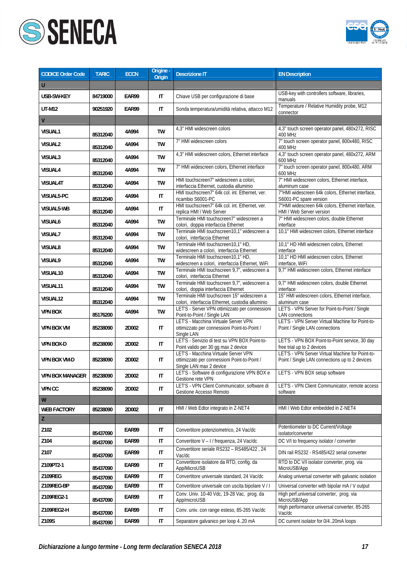



| <b>CODICE Order Code</b> | <b>TARIC</b> | <b>ECCN</b> | Origine -<br>Origin    | <b>Descrizione IT</b>                                                                                           | <b>EN Description</b>                                                                              |
|--------------------------|--------------|-------------|------------------------|-----------------------------------------------------------------------------------------------------------------|----------------------------------------------------------------------------------------------------|
| U                        |              |             |                        |                                                                                                                 |                                                                                                    |
| USB-SW-KEY               | 84719000     | EAR99       | IT                     | Chiave USB per configurazione di base                                                                           | USB-key with controllers software, libraries,<br>manuals                                           |
| <b>UT-M12</b>            | 90251920     | EAR99       | IT                     | Sonda temperatura/umidità relativa, attacco M12                                                                 | Temperature / Relative Humidity probe, M12<br>connector                                            |
| V                        |              |             |                        |                                                                                                                 |                                                                                                    |
| VISUAL1                  | 85312040     | 4A994       | <b>TW</b>              | 4,3" HMI widescreen colors                                                                                      | 4,3" touch screen operator panel, 480x272, RISC<br>400 MHz                                         |
| <b>VISUAL2</b>           | 85312040     | 4A994       | TW                     | 7" HMI widescreen colors                                                                                        | 7" touch screen operator panel, 800x480, RISC<br>400 MHz                                           |
| VISUAL3                  | 85312040     | 4A994       | TW                     | 4,3" HMI widescreen colors, Ethernet interface                                                                  | 4,3" touch screen operator panel, 480x272, ARM<br>600 MHz                                          |
| VISUAL4                  | 85312040     | 4A994       | TW                     | 7" HMI widescreen colors, Ethernet interface                                                                    | 7" touch screen operator panel, 800x480, ARM<br>600 MHz                                            |
| VISUAL4T                 | 85312040     | 4A994       | TW                     | HMI touchscreen7" widescreen a colori,<br>interfaccia Ethernet, custodia alluminio                              | 7" HMI widescreen colors, Ethernet interface,<br>aluminum case                                     |
| VISUAL5-PC               | 85312040     | 4A994       | $\mathsf{I}\mathsf{T}$ | HMI touchscreen7" 64k col. int. Ethernet, ver.<br>ricambio S6001-PC                                             | 7"HMI widescreen 64k colors, Ethernet interface,<br>S6001-PC spare version                         |
| VISUAL5-WB               | 85312040     | 4A994       | IT                     | HMI touchscreen7" 64k col. int. Ethernet, ver.<br>replica HMI / Web Server                                      | 7"HMI widescreen 64k colors, Ethernet interface,<br>HMI / Web Server version                       |
| VISUAL6                  | 85312040     | 4A994       | TW                     | Terminale HMI touchscreen7" widescreen a<br>colori, doppia interfaccia Ethernet                                 | 7" HMI widescreen colors, double Ethernet<br>interface                                             |
| VISUAL7                  | 85312040     | 4A994       | TW                     | Terminale HMI touchscreen10,1" widescreen a<br>colori, interfaccia Ethernet                                     | 10,1" HMI widescreen colors, Ethernet interface                                                    |
| VISUAL8                  | 85312040     | 4A994       | TW                     | Terminale HMI touchscreen10,1" HD,<br>widescreen a colori, interfaccia Ethernet                                 | 10,1" HD HMI widescreen colors, Ethernet<br>interface                                              |
| <b>VISUAL9</b>           | 85312040     | 4A994       | TW                     | Terminale HMI touchscreen10,1" HD,<br>widescreen a colori, interfaccia Ethernet, WiFi                           | 10,1" HD HMI widescreen colors, Ethernet<br>interface, WiFi                                        |
| VISUAL10                 | 85312040     | 4A994       | TW                     | Terminale HMI touchscreen 9,7", widescreen a<br>colori, interfaccia Ethernet                                    | 9,7" HMI widescreen colors, Ethernet interface                                                     |
| VISUAL11                 | 85312040     | 4A994       | TW                     | Terminale HMI touchscreen 9,7", widescreen a<br>colori, doppia interfaccia Ethernet                             | 9,7" HMI widescreen colors, double Ethernet<br>interface                                           |
| VISUAL12                 | 85312040     | 4A994       | TW                     | Terminale HMI touchscreen 15" widescreen a<br>colori, interfaccia Ethernet, custodia alluminio                  | 15" HMI widescreen colors, Ethernet interface,<br>aluminum case                                    |
| <b>VPN BOX</b>           | 85176200     | 4A994       | TW                     | LET'S - Server VPN ottimizzato per connessioni<br>Point-to-Point / Single LAN                                   | LET'S - VPN Server for Point-to-Point / Single<br><b>LAN</b> connections                           |
| <b>VPN BOX VM</b>        | 85238090     | 2D002       | IT                     | LET'S - Macchina Virtuale Server VPN<br>ottimizzato per connessioni Point-to-Point /<br>Single LAN              | LET'S - VPN Server Virtual Machine for Point-to-<br>Point / Single LAN connections                 |
| VPN BOX-D                | 85238090     | 2D002       | IT                     | LET'S - Servizio di test su VPN BOX Point-to-<br>Point valido per 30 gg max 2 device                            | LET'S - VPN BOX Point-to-Point service, 30 day<br>free trial up to 2 devices                       |
| VPN BOX VM-D             | 85238090     | 2D002       | IT                     | LET'S - Macchina Virtuale Server VPN<br>ottimizzato per connessioni Point-to-Point /<br>Single LAN max 2 device | LET'S - VPN Server Virtual Machine for Point-to-<br>Point / Single LAN connections up to 2 devices |
| VPN BOX MANAGER          | 85238090     | 2D002       | IT                     | LET'S - Software di configurazione VPN BOX e<br>Gestione rete VPN                                               | LET'S - VPN BOX setup software                                                                     |
| <b>VPN CC</b>            | 85238090     | 2D002       | $\sf IT$               | LET'S - VPN Client Communicator, software di<br>Gestione Accesso Remoto                                         | LET'S - VPN Client Communicator, remote access<br>software                                         |
| ${\mathsf W}$            |              |             |                        |                                                                                                                 |                                                                                                    |
| <b>WEB FACTORY</b>       | 85238090     | 2D002       | $\mathsf{I}$           | HMI / Web Edtor integrato in Z-NET4                                                                             | HMI / Web Edtor embedded in Z-NET4                                                                 |
| Z                        |              |             |                        |                                                                                                                 |                                                                                                    |
| Z102                     | 85437090     | EAR99       | IT                     | Convertitore potenziometrico, 24 Vac/dc                                                                         | Potentiometer to DC Current/Voltage<br>isolator/converter                                          |
| Z104                     | 85437090     | EAR99       | $\mathsf{I}\mathsf{T}$ | Convertitore V - I / frequenza, 24 Vac/dc                                                                       | DC V/I to frequency isolator / converter                                                           |
| Z107                     | 85437090     | EAR99       | $\mathsf{I}\mathsf{T}$ | Convertitore seriale RS232 - RS485/422, 24<br>Vac/dc                                                            | DIN rail RS232 - RS485/422 serial converter                                                        |
| Z109PT2-1                | 85437090     | EAR99       | IT                     | Convertitore isolatore da RTD, config. da<br>App/MicroUSB                                                       | RTD to DC V/I isolator converter, prog. via<br>MicroUSB/App                                        |
| Z109REG                  | 85437090     | EAR99       | IT                     | Convertitore universale standard, 24 Vac/dc                                                                     | Analog universal converter with galvanic isolation                                                 |
| Z109REG-BP               | 85437090     | EAR99       | $\mathsf{I}\mathsf{T}$ | Convertitore universale con uscita bipolare V / I                                                               | Universal converter with bipolar mA / V output                                                     |
| Z109REG2-1               | 85437090     | EAR99       | IT                     | Conv. Univ. 10-40 Vdc, 19-28 Vac, prog. da<br>App/microUSB                                                      | High perf.universal converter, prog. via<br>MicroUSB/App                                           |
| Z109REG2-H               | 85437090     | EAR99       | IT                     | Conv. univ. con range esteso, 85-265 Vac/dc                                                                     | High performance universal converter, 85-265<br>Vac/dc                                             |
| Z109S                    | 85437090     | EAR99       | $\mathsf{I}\mathsf{T}$ | Separatore galvanico per loop 420 mA                                                                            | DC current isolator for 0/420mA loops                                                              |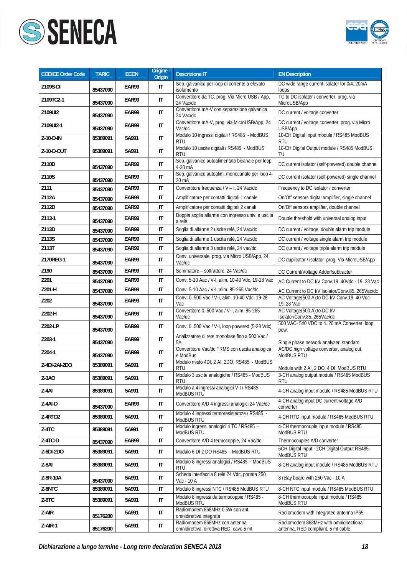



| <b>CODICE Order Code</b> | <b>TARIC</b> | <b>ECCN</b> | Origine -<br><b>Origin</b> | <b>Descrizione IT</b>                                                    | <b>EN Description</b>                                                        |
|--------------------------|--------------|-------------|----------------------------|--------------------------------------------------------------------------|------------------------------------------------------------------------------|
| Z109S-DI                 | 85437090     | EAR99       | IT                         | Sep. galvanico per loop di corrente a elevato<br>isolamento              | DC wide range current isolator for 0/420mA<br>loops                          |
| Z109TC2-1                | 85437090     | EAR99       | $\mathsf{I}\mathsf{T}$     | Convertitore da TC, prog. Via Micro USB / App,<br>24 Vac/dc              | TC to DC isolator / converter, prog. via<br>MicroUSB/App                     |
| Z109UI2                  | 85437090     | EAR99       | $\mathsf{I}\mathsf{T}$     | Convertitore mA-V con separazione galvanica,<br>24 Vac/dc                | DC current / voltage converter                                               |
| Z109UI2-1                | 85437090     | EAR99       | $\mathsf{I}\mathsf{T}$     | Convertitore mA-V, prog. via MicroUSB/App, 24<br>Vac/dc                  | DC current / voltage converter, prog. via Micro<br>USB/App                   |
| Z-10-D-IN                | 85389091     | 5A991       | $\mathsf{I}\mathsf{T}$     | Modulo 10 ingressi digitali / RS485 - ModBUS<br><b>RTU</b>               | 10-CH Digital Input module / RS485 ModBUS<br><b>RTU</b>                      |
| Z-10-D-OUT               | 85389091     | 5A991       | $\mathsf{I}$               | Modulo 10 uscite digitali / RS485 - ModBUS<br><b>RTU</b>                 | 10-CH Digital Output module / RS485 ModBUS<br>TU                             |
| Z110D                    | 85437090     | EAR99       | IT                         | Sep. galvanico autoalimentato bicanale per loop<br>4-20 mA               | DC current isolator (self-powered) double channel                            |
| Z110S                    | 85437090     | EAR99       | IT                         | Sep. galvanico autoalim. monocanale per loop 4-<br>20 mA                 | DC current isolator (self-powered) single channel                            |
| Z111                     | 85437090     | EAR99       | IT                         | Convertitore frequenza / V - I, 24 Vac/dc                                | Frequency to DC isolator / converter                                         |
| Z112A                    | 85437090     | EAR99       | IT                         | Amplificatore per contatti digitali 1 canale                             | On/Off sensors digital amplifier, single channel                             |
| Z112D                    | 85437090     | EAR99       | $\mathsf{I}\mathsf{T}$     | Amplificatore per contatti digitali 2 canali                             | On/Off sensors amplifier, double channel                                     |
| Z113-1                   | 85437090     | EAR99       | $\mathsf{I}\mathsf{T}$     | Doppia soglia allarme con ingresso univ. e uscita<br>a relè              | Double threshold with universal analog input                                 |
| Z113D                    | 85437090     | EAR99       | $\mathsf{I}\mathsf{T}$     | Soglia di allarme 2 uscite relè, 24 Vac/dc                               | DC current / voltage, double alarm trip module                               |
| Z113S                    | 85437090     | EAR99       | IT                         | Soglia di allarme 1 uscita relè, 24 Vac/dc                               | DC current / voltage single alarm trip module                                |
| Z113T                    | 85437090     | EAR99       | $\mathsf{I}\mathsf{T}$     | Soglia di allarme 3 uscite relè, 24 vac/dc                               | DC current / voltage triple alarm trip module                                |
| Z170REG-1                | 85437090     | EAR99       | $\mathsf{I}\mathsf{T}$     | Conv. universale, prog. via Micro USB/App, 24<br>Vac/dc                  | DC duplicator / isolator prog. Via MicroUSB/App                              |
| Z190                     | 85437090     | EAR99       | IT                         | Sommatore - sottrattore, 24 Vac/dc                                       | DC Current/Voltage Adder/subtracter                                          |
| Z201                     | 85437090     | EAR99       | IT                         | Conv. 5-10 Aac / V-I, alim. 10-40 Vdc, 19-28 Vac                         | AC Current to DC I/V Conv.1940Vdc - 1928 Vac                                 |
| Z201-H                   | 85437090     | EAR99       | $\mathsf{I}\mathsf{T}$     | Conv. 5-10 Aac / V-I, alim. 85-265 Vac/dc                                | AC Current to DC I/V Isolator/Conv.85265Vac/dc                               |
| Z202                     | 85437090     | EAR99       | $\mathsf{I}\mathsf{T}$     | Conv. 0500 Vac / V-I, alim. 10-40 Vdc, 19-28<br>Vac                      | AC Voltage(500 A);to DC I/V Conv.1940 Vdc-<br>19.28 Vac                      |
| Z202-H                   | 85437090     | EAR99       | IT                         | Convertitore 0500 Vac / V-I, alim. 85-265<br>Vac/dc                      | AC Voltage(500 A);to DC I/V<br>Isolator/Conv.85265Vac/dc                     |
| Z202-LP                  | 85437090     | EAR99       | $\mathsf{I}\mathsf{T}$     | Conv. 0500 Vac / V-I, loop powered (5-28 Vdc)                            | 500 VAC-540 VDC to 420 mA Converter, loop<br>pow.                            |
| Z203-1                   | 85437090     | EAR99       | $\mathsf{I}\mathsf{T}$     | Analizzatore di rete monofase fino a 500 Vac /<br>5A                     | Single phase network analyzer. standard                                      |
| Z204-1                   | 85437090     | EAR99       | $\mathsf{I}\mathsf{T}$     | Convertitore Vac/dc TRMS con uscita analogica<br>e ModBus                | AC/DC high voltage converter, analog out,<br>ModBUS RTU                      |
| Z-4DI-2AI-2DO            | 85389091     | 5A991       | IT                         | Modulo misto 4DI, 2 AI, 2DO, RS485 - ModBUS<br><b>RTU</b>                | Module with 2 AI, 2 DO, 4 DI, ModBUS RTU                                     |
| $Z-3AO$                  | 85389091     | 5A991       | $\mathsf{I}\mathsf{T}$     | Modulo 3 uscite analogiche / RS485 - ModBUS<br>RTU                       | 3-CH analog output module / RS485 ModBUS<br><b>RTU</b>                       |
| Z-4AI                    | 85389091     | 5A991       | IT                         | Modulo a 4 ingressi analogici V-I / RS485 -<br>ModBUS RTU                | 4-CH analog input module / RS485 ModBUS RTU                                  |
| Z-4AI-D                  | 85437090     | EAR99       | IT                         | Convertitore A/D 4 ingressi analogici 24 Vac/dc                          | 4-CH analog input DC current-voltage A/D<br>converter                        |
| Z-4RTD2                  | 85389091     | 5A991       | IT                         | Modulo 4 ingressi termoresisternze / RS485 -<br>ModBUS RTU               | 4-CH RTD input module / RS485 ModBUS RTU                                     |
| $Z-4TC$                  | 85389091     | 5A991       | IT                         | Modulo ingressi analogici 4 TC / RS485 -<br>ModBUS RTU                   | 4-CH thermocouple input module / RS485<br>ModBUS RTU                         |
| $Z-4TC-D$                | 85437090     | EAR99       | IT                         | Convertitore A/D 4 termocoppie, 24 Vac/dc                                | Thermocouples A/D converter                                                  |
| Z-6DI-2DO                | 85389091     | 5A991       | IT                         | Modulo 6 DI 2 DO RS485 - ModBUS RTU                                      | 6CH Digital Input - 2CH Digital Output RS485-<br>ModBUS RTU                  |
| Z-8AI                    | 85389091     | 5A991       | IT                         | Modulo 8 ingressi analogici / RS485 - ModBUS<br>RTU                      | 8-CH analog input module / RS485 ModBUS RTU                                  |
| Z-8R-10A                 | 85437090     | 5A991       | IT                         | Scheda interfaccia 8 relè 24 Vdc, portata 250<br>Vac - 10 A              | 8 relay board with 250 Vac - 10 A                                            |
| Z-8NTC                   | 85389091     | 5A991       | IT                         | Modulo 8 ingressi NTC / RS485 ModBUS RTU                                 | 8-CH NTC input module / RS485 ModBUS RTU                                     |
| Z-8TC                    | 85389091     | 5A991       | IT                         | Modulo 8 ingressi da termocoppie / RS485 -<br>ModBUS RTU                 | 8-CH thermocouple input module / RS485<br>ModBUS RTU                         |
| Z-AIR                    | 85176200     | 5A991       | IT                         | Radiomodem 868MHz 0.5W con ant.<br>omnidirettiva integrata               | Radiomodem with integrated antenna IP65                                      |
| Z-AIR-1                  | 85176200     | 5A991       | IT                         | Radiomodem 868MHz con antenna<br>omnidirettiva, direttiva RED, cavo 5 mt | Radiomodem 868MHz with omnidirectional<br>antenna, RED compliant, 5 mt cable |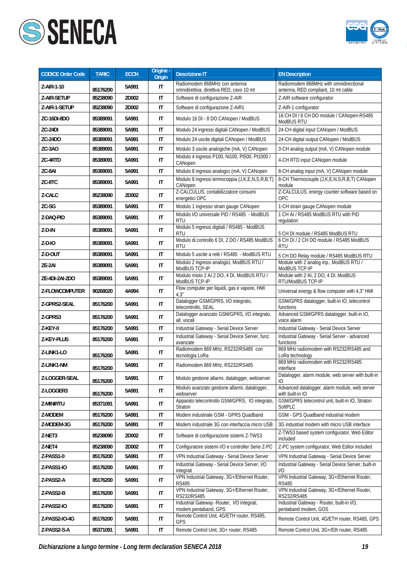



| <b>CODICE Order Code</b> | <b>TARIC</b> | <b>ECCN</b> | Origine -<br>Origin    | <b>Descrizione IT</b>                                                     | <b>EN Description</b>                                                         |
|--------------------------|--------------|-------------|------------------------|---------------------------------------------------------------------------|-------------------------------------------------------------------------------|
| Z-AIR-1-10               | 85176200     | 5A991       | IT                     | Radiomodem 868MHz con antenna<br>omnidirettiva, direttiva RED, cavo 10 mt | Radiomodem 868MHz with omnidirectional<br>antenna, RED compliant, 10 mt cable |
| Z-AIR-SETUP              | 85238090     | 2D002       | IT                     | Software di configurazione Z-AIR                                          | Z-AIR software configurator                                                   |
| Z-AIR-1-SETUP            | 85238090     | 2D002       | IT                     | Software di configurazione Z-AIR1                                         | Z-AIR-1 configurator                                                          |
| ZC-16DI-8DO              | 85389091     | 5A991       | IT                     | Modulo 16 DI - 8 DO CANopen / ModBUS                                      | 16 CH DI / 8 CH DO module / CANopen-RS485<br>ModBUS RTU                       |
| ZC-24DI                  | 85389091     | 5A991       | IT                     | Modulo 24 ingressi digitali CANopen / ModBUS                              | 24-CH digital input CANopen / ModBUS                                          |
| ZC-24DO                  | 85389091     | 5A991       | $\mathsf{I}\mathsf{T}$ | Modulo 24 uscite digitali CANopen / ModBUS                                | 24-CH digital output CANopen / ModBUS                                         |
| ZC-3AO                   | 85389091     | 5A991       | IT                     | Modulo 3 uscite analogiche (mA, V) CANopen                                | 3-CH analog output (mA, V) CANopen module                                     |
| ZC-4RTD                  | 85389091     | 5A991       | IT                     | Modulo 4 ingressi P100, Ni100, Pt500, Pt1000 /<br>CANopen                 | 4-CH RTD input CANopen module                                                 |
| ZC-8AI                   | 85389091     | 5A991       | IT                     | Modulo 8 ingressi analogici (mA, V) CANopen                               | 8-CH analog input (mA, V) CANopen module                                      |
| ZC-8TC                   | 85389091     | 5A991       | IT                     | Modulo 8 ingressi termocoppia (J,K,E,N,S,R,B,T)<br>CANopen                | 8-CH Thermocouple (J,K,E,N,S,R,B,T) CANopen<br>module                         |
| Z-CALC                   | 85238090     | 2D002       | IT                     | Z-CALCULUS, contabilizzatore consumi<br>energetici OPC                    | Z-CALCULUS, energy counter software based on<br>OPC                           |
| ZC-SG                    | 85389091     | 5A991       | IT                     | Modulo 1 ingresso strain gauge CANopen                                    | 1-CH strain gauge CANopen module                                              |
| Z-DAO-PID                | 85389091     | 5A991       | $\sf IT$               | Modulo I/O universale PID / RS485 - ModBUS<br><b>RTU</b>                  | 1 CH AI / RS485 ModBUS RTU with PID<br>regulation                             |
| Z-D-IN                   | 85389091     | 5A991       | IT                     | Modulo 5 ingressi digitali / RS485 - ModBUS<br><b>RTU</b>                 | 5 CH DI module / RS485 ModBUS RTU                                             |
| $Z-D-IO$                 | 85389091     | 5A991       | IT                     | Modulo di controllo 6 DI, 2 DO / RS485 ModBUS<br>RTU                      | 6 CH DI / 2 CH DO module / RS485 ModBUS<br><b>RTU</b>                         |
| Z-D-OUT                  | 85389091     | 5A991       | IT                     | Modulo 5 uscite a relè / RS485 - ModBUS RTU                               | 5 CH DO Relay module / RS485 ModBUS RTU                                       |
| ZE-2AI                   | 85389091     | 5A991       | $\mathsf{I}\mathsf{T}$ | Modulo 2 ingressi analogici, ModBUS RTU /<br>ModBUS TCP-IP                | Module with 2 analog inp., ModBUS RTU /<br>ModBUS TCP-IP                      |
| ZE-4DI-2AI-2DO           | 85389091     | 5A991       | IT                     | Modulo misto 2 AI 2 DO, 4 DI, ModBUS RTU /<br>ModBUS TCP-IP               | Module with 2 Al, 2 DO, 4 DI, ModBUS<br>RTU/ModBUS TCP-IP                     |
| Z-FLOWCOMPUTER           | 90268020     | 4A994       | $\mathsf{I}\mathsf{T}$ | Flow computer per liquidi, gas e vapore, HMI<br>4.3"                      | Universal energy & flow computer with 4,3" HMI                                |
| Z-GPRS2-SEAL             | 85176200     | 5A991       | IT                     | Datalogger GSM/GPRS, I/O integrato,<br>telecontrollo, SEAL                | GSM/GPRS datalogger, built-in IO, telecontrol<br>functions                    |
| Z-GPRS3                  | 85176200     | 5A991       | IT                     | Datalogger avanzato GSM/GPRS, I/O integrato,<br>all. vocali               | Advanced GSM/GPRS datalogger, built-in IO,<br>voice alarm                     |
| Z-KEY-0                  | 85176200     | 5A991       | IT                     | Industrial Gateway - Serial Device Server                                 | Industrial Gateway - Serial Device Server                                     |
| Z-KEY-PLUS               | 85176200     | 5A991       | IT                     | Industrial Gateway - Serial Device Server, funz.<br>avanzate              | Industrial Gateway - Serial Server - advanced<br>functions                    |
| Z-LINK1-LO               | 85176200     | 5A991       | IT                     | Radiomodem 869 MHz, RS232/RS485 con<br>tecnologia LoRa                    | 869 MHz radiomodem with RS232/RS485 and<br>LoRa technology                    |
| Z-LINK1-NM               | 85176200     | 5A991       | IT                     | Radiomodem 869 MHz, RS232/RS485                                           | 869 MHz radiomodem with RS232/RS485<br>interface                              |
| Z-LOGGER-SEAL            | 85176200     | 5A991       | $\mathsf{I}\mathsf{T}$ | Modulo gestione allarmi, datalogger, webserver                            | Datalogger, alarm module, web server with built-in<br>Ю                       |
| Z-LOGGER3                | 85176200     | 5A991       | IT                     | Modulo avanzato gestione allarmi, datalogger,<br>webserver                | Advanced datalogger, alarm module, web server<br>with built-in IO             |
| Z-MINIRTU                | 85371091     | 5A991       | IT                     | Apparato telecontrollo GSM/GPRS, IO integrato,<br>Straton                 | GSM/GPRS telecontrol unit, built-in IO, Straton<br>SoftPLC                    |
| Z-MODEM                  | 85176200     | 5A991       | IT                     | Modem industriale GSM - GPRS Quadband                                     | GSM - GPS Quadband industrial modem                                           |
| Z-MODEM-3G               | 85176200     | 5A991       | IT                     | Modem industriale 3G con interfaccia micro USB                            | 3G industrial modem with micro USB interface                                  |
| Z-NET3                   | 85238090     | 2D002       | IT                     | Software di configurazione sistemi Z-TWS3                                 | Z-TWS3 based system configurator, Web Editor<br>included                      |
| Z-NET4                   | 85238090     | 2D002       | IT                     | Configuratore sistemi I/O e controller Serie Z-PC                         | Z-PC system configurator, Web Editor included                                 |
| Z-PASS1-0                | 85176200     | 5A991       | IT                     | VPN Industrial Gateway - Serial Device Server                             | VPN Industrial Gateway - Serial Device Server                                 |
| Z-PASS1-IO               | 85176200     | 5A991       | IT                     | Industrial Gateway - Serial Device Server, I/O<br>integrati               | Industrial Gateway - Serial Device Server, built-in<br>I/O                    |
| Z-PASS2-A                | 85176200     | 5A991       | IT                     | VPN Industrial Gateway, 3G+/Ethernet Router,<br><b>RS485</b>              | VPN Industrial Gateway, 3G+/Ethernet Router,<br><b>RS485</b>                  |
| Z-PASS2-B                | 85176200     | 5A991       | IT                     | VPN Industrial Gateway, 3G+/Ethernet Router,<br>RS232/RS485               | VPN Industrial Gateway, 3G+/Ethernet Router,<br>RS232/RS485                   |
| Z-PASS2-IO               | 85176200     | 5A991       | IT                     | Industrial Gateway - Router, I/O integrati,<br>modem pentaband, GPS       | Industrial Gateway - Router, built-in I/O,<br>pentaband modem, GOS            |
| Z-PASS2-IO-4G            | 85176200     | 5A991       | IT                     | Remote Control Unit, 4G/ETH router, RS485,<br>GPS                         | Remote Control Unit, 4G/ETH router, RS485, GPS                                |
| Z-PASS2-S-A              | 85371091     | 5A991       | IT                     | Remote Control Unit, 3G+ router, RS485                                    | Remote Control Unit, 3G+/Eth router, RS485                                    |

*Dichiarazione a lungo termine - Long term declaration SENECA 2018 19*